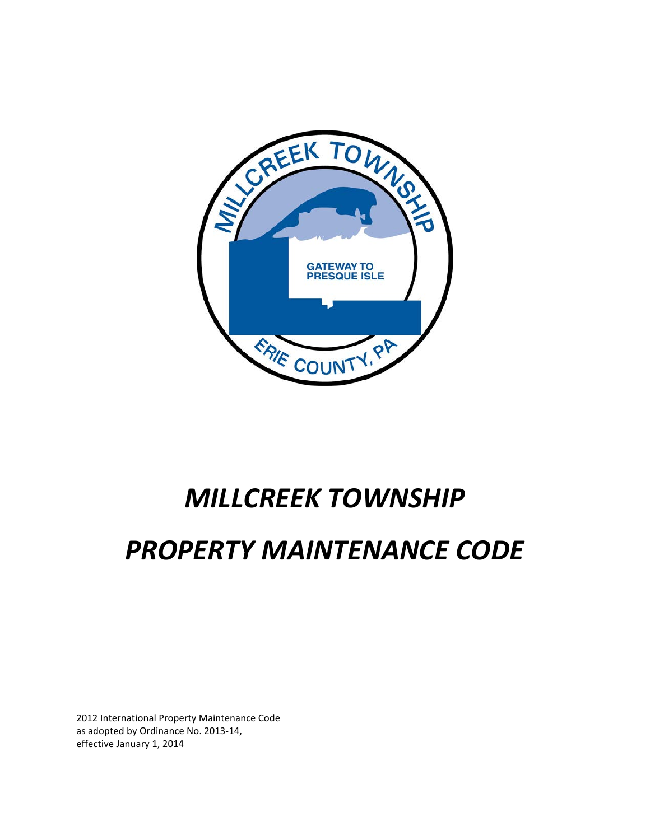

# *MILLCREEK TOWNSHIP*

# *PROPERTY MAINTENANCE CODE*

2012 International Property Maintenance Code as adopted by Ordinance No. 2013-14, effective January 1, 2014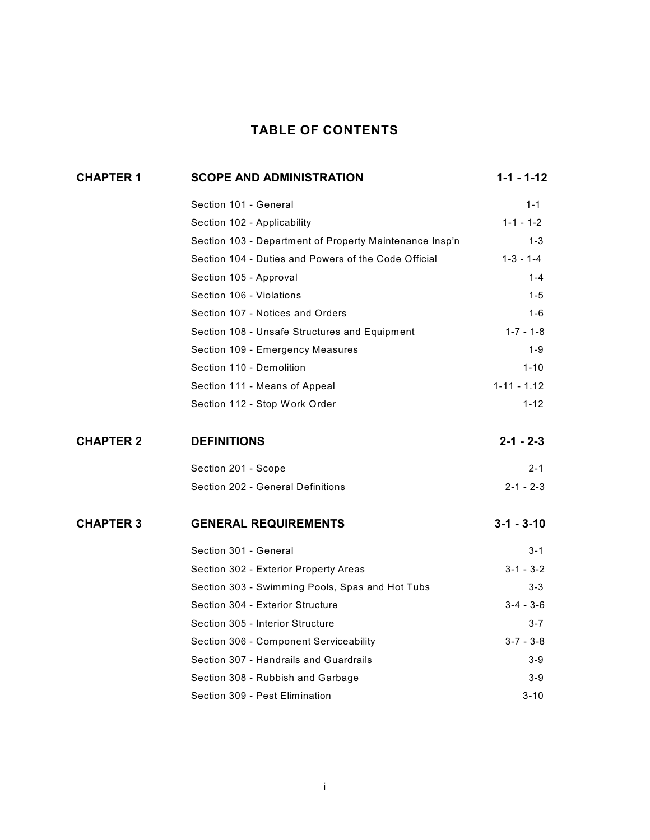# **TABLE OF CONTENTS**

| <b>CHAPTER 1</b> | <b>SCOPE AND ADMINISTRATION</b>                         | $1 - 1 - 1 - 12$ |
|------------------|---------------------------------------------------------|------------------|
|                  | Section 101 - General                                   | $1 - 1$          |
|                  | Section 102 - Applicability                             | $1 - 1 - 1 - 2$  |
|                  | Section 103 - Department of Property Maintenance Insp'n | $1 - 3$          |
|                  | Section 104 - Duties and Powers of the Code Official    | $1 - 3 - 1 - 4$  |
|                  | Section 105 - Approval                                  | $1 - 4$          |
|                  | Section 106 - Violations                                | $1 - 5$          |
|                  | Section 107 - Notices and Orders                        | $1 - 6$          |
|                  | Section 108 - Unsafe Structures and Equipment           | $1 - 7 - 1 - 8$  |
|                  | Section 109 - Emergency Measures                        | $1 - 9$          |
|                  | Section 110 - Demolition                                | $1 - 10$         |
|                  | Section 111 - Means of Appeal                           | $1 - 11 - 1.12$  |
|                  | Section 112 - Stop Work Order                           | $1 - 12$         |
| <b>CHAPTER 2</b> | <b>DEFINITIONS</b>                                      | $2 - 1 - 2 - 3$  |
|                  | Section 201 - Scope                                     | $2 - 1$          |
|                  | Section 202 - General Definitions                       | $2 - 1 - 2 - 3$  |
| <b>CHAPTER 3</b> | <b>GENERAL REQUIREMENTS</b>                             | $3-1 - 3-10$     |
|                  | Section 301 - General                                   | $3 - 1$          |
|                  | Section 302 - Exterior Property Areas                   | $3 - 1 - 3 - 2$  |
|                  | Section 303 - Swimming Pools, Spas and Hot Tubs         | $3 - 3$          |
|                  | Section 304 - Exterior Structure                        | $3 - 4 - 3 - 6$  |
|                  | Section 305 - Interior Structure                        | $3 - 7$          |
|                  | Section 306 - Component Serviceability                  | $3-7 - 3-8$      |
|                  | Section 307 - Handrails and Guardrails                  | $3-9$            |
|                  | Section 308 - Rubbish and Garbage                       | $3-9$            |
|                  | Section 309 - Pest Elimination                          | $3 - 10$         |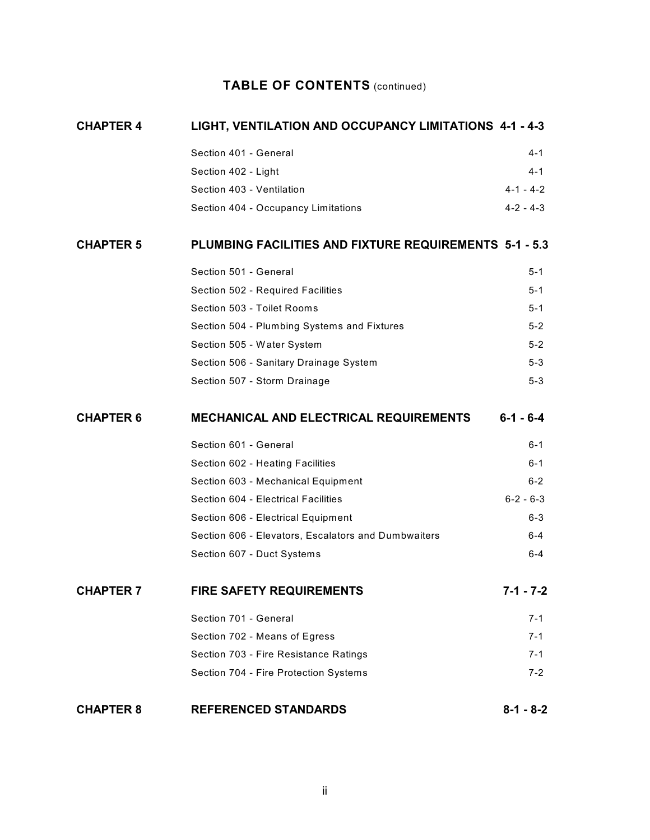# **TABLE OF CONTENTS** (continued)

| <b>CHAPTER 4</b> | LIGHT, VENTILATION AND OCCUPANCY LIMITATIONS 4-1 - 4-3        |                 |  |  |
|------------------|---------------------------------------------------------------|-----------------|--|--|
|                  | Section 401 - General                                         | $4 - 1$         |  |  |
|                  | Section 402 - Light                                           | $4 - 1$         |  |  |
|                  | Section 403 - Ventilation                                     | $4 - 1 - 4 - 2$ |  |  |
|                  | Section 404 - Occupancy Limitations                           | $4 - 2 - 4 - 3$ |  |  |
| <b>CHAPTER 5</b> | <b>PLUMBING FACILITIES AND FIXTURE REQUIREMENTS 5-1 - 5.3</b> |                 |  |  |
|                  | Section 501 - General                                         | $5 - 1$         |  |  |
|                  | Section 502 - Required Facilities                             | $5 - 1$         |  |  |
|                  | Section 503 - Toilet Rooms                                    | $5 - 1$         |  |  |
|                  | Section 504 - Plumbing Systems and Fixtures                   | $5 - 2$         |  |  |
|                  | Section 505 - Water System                                    | $5 - 2$         |  |  |
|                  | Section 506 - Sanitary Drainage System                        | $5 - 3$         |  |  |
|                  | Section 507 - Storm Drainage                                  | $5 - 3$         |  |  |
| <b>CHAPTER 6</b> | MECHANICAL AND ELECTRICAL REQUIREMENTS                        |                 |  |  |
|                  | Section 601 - General                                         | $6 - 1$         |  |  |
|                  | Section 602 - Heating Facilities                              | $6 - 1$         |  |  |
|                  | Section 603 - Mechanical Equipment                            | $6 - 2$         |  |  |
|                  | Section 604 - Electrical Facilities                           | $6 - 2 - 6 - 3$ |  |  |
|                  | Section 606 - Electrical Equipment                            | $6 - 3$         |  |  |
|                  | Section 606 - Elevators, Escalators and Dumbwaiters           | $6 - 4$         |  |  |
|                  | Section 607 - Duct Systems                                    | $6 - 4$         |  |  |
| <b>CHAPTER 7</b> | <b>FIRE SAFETY REQUIREMENTS</b>                               |                 |  |  |
|                  | Section 701 - General                                         | $7 - 1$         |  |  |
|                  | Section 702 - Means of Egress                                 | $7 - 1$         |  |  |
|                  | Section 703 - Fire Resistance Ratings                         | $7 - 1$         |  |  |
|                  | Section 704 - Fire Protection Systems                         | $7 - 2$         |  |  |
| <b>CHAPTER 8</b> | <b>REFERENCED STANDARDS</b>                                   | $8 - 1 - 8 - 2$ |  |  |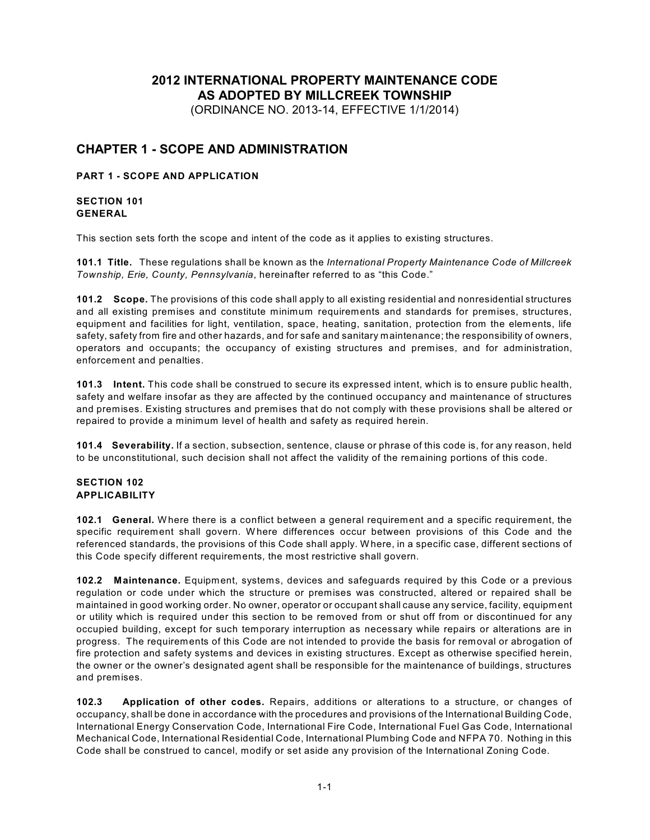# **2012 INTERNATIONAL PROPERTY MAINTENANCE CODE AS ADOPTED BY MILLCREEK TOWNSHIP**

(ORDINANCE NO. 2013-14, EFFECTIVE 1/1/2014)

# **CHAPTER 1 - SCOPE AND ADMINISTRATION**

### **PART 1 - SCOPE AND APPLICATION**

#### **SECTION 101 GENERAL**

This section sets forth the scope and intent of the code as it applies to existing structures.

**101.1 Title.** These regulations shall be known as the *International Property Maintenance Code of Millcreek Township, Erie, County, Pennsylvania*, hereinafter referred to as "this Code."

**101.2 Scope.** The provisions of this code shall apply to all existing residential and nonresidential structures and all existing premises and constitute minimum requirements and standards for premises, structures, equipment and facilities for light, ventilation, space, heating, sanitation, protection from the elements, life safety, safety from fire and other hazards, and for safe and sanitary maintenance; the responsibility of owners, operators and occupants; the occupancy of existing structures and premises, and for administration, enforcement and penalties.

**101.3 Intent.** This code shall be construed to secure its expressed intent, which is to ensure public health, safety and welfare insofar as they are affected by the continued occupancy and maintenance of structures and premises. Existing structures and premises that do not comply with these provisions shall be altered or repaired to provide a minimum level of health and safety as required herein.

**101.4 Severability.** If a section, subsection, sentence, clause or phrase of this code is, for any reason, held to be unconstitutional, such decision shall not affect the validity of the remaining portions of this code.

#### **SECTION 102 APPLICABILITY**

**102.1 General.** W here there is a conflict between a general requirement and a specific requirement, the specific requirement shall govern. W here differences occur between provisions of this Code and the referenced standards, the provisions of this Code shall apply. W here, in a specific case, different sections of this Code specify different requirements, the most restrictive shall govern.

**102.2 Maintenance.** Equipment, systems, devices and safeguards required by this Code or a previous regulation or code under which the structure or premises was constructed, altered or repaired shall be maintained in good working order. No owner, operator or occupant shall cause any service, facility, equipment or utility which is required under this section to be removed from or shut off from or discontinued for any occupied building, except for such temporary interruption as necessary while repairs or alterations are in progress. The requirements of this Code are not intended to provide the basis for removal or abrogation of fire protection and safety systems and devices in existing structures. Except as otherwise specified herein, the owner or the owner's designated agent shall be responsible for the maintenance of buildings, structures and premises.

**102.3 Application of other codes.** Repairs, additions or alterations to a structure, or changes of occupancy, shall be done in accordance with the procedures and provisions of the International Building Code, International Energy Conservation Code, International Fire Code, International Fuel Gas Code, International Mechanical Code, International Residential Code, International Plumbing Code and NFPA 70. Nothing in this Code shall be construed to cancel, modify or set aside any provision of the International Zoning Code.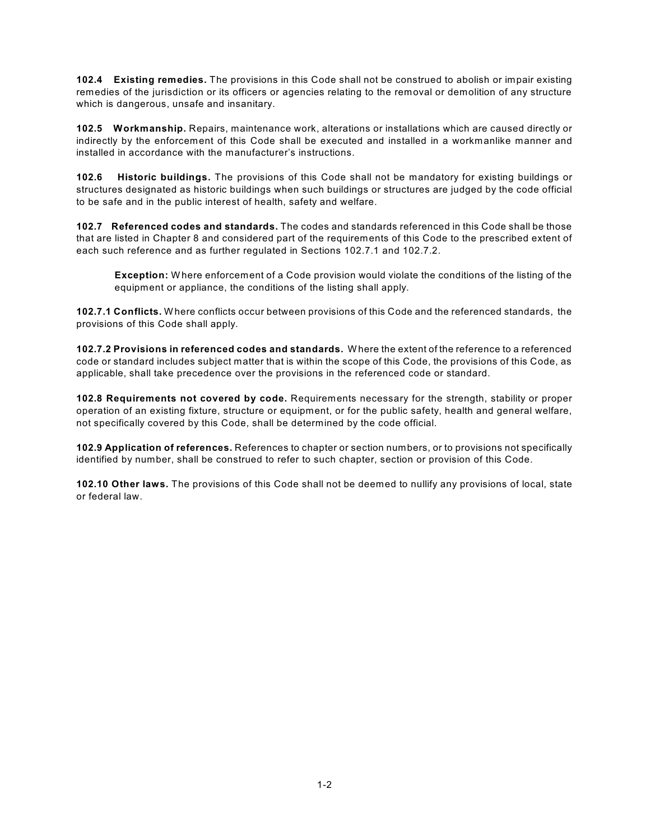**102.4 Existing remedies.** The provisions in this Code shall not be construed to abolish or impair existing remedies of the jurisdiction or its officers or agencies relating to the removal or demolition of any structure which is dangerous, unsafe and insanitary.

**102.5 Workmanship.** Repairs, maintenance work, alterations or installations which are caused directly or indirectly by the enforcement of this Code shall be executed and installed in a workmanlike manner and installed in accordance with the manufacturer's instructions.

**102.6 Historic buildings.** The provisions of this Code shall not be mandatory for existing buildings or structures designated as historic buildings when such buildings or structures are judged by the code official to be safe and in the public interest of health, safety and welfare.

**102.7 Referenced codes and standards.** The codes and standards referenced in this Code shall be those that are listed in Chapter 8 and considered part of the requirements of this Code to the prescribed extent of each such reference and as further regulated in Sections 102.7.1 and 102.7.2.

**Exception:** Where enforcement of a Code provision would violate the conditions of the listing of the equipment or appliance, the conditions of the listing shall apply.

**102.7.1 Conflicts.** W here conflicts occur between provisions of this Code and the referenced standards, the provisions of this Code shall apply.

**102.7.2 Provisions in referenced codes and standards.** W here the extent of the reference to a referenced code or standard includes subject matter that is within the scope of this Code, the provisions of this Code, as applicable, shall take precedence over the provisions in the referenced code or standard.

**102.8 Requirements not covered by code.** Requirements necessary for the strength, stability or proper operation of an existing fixture, structure or equipment, or for the public safety, health and general welfare, not specifically covered by this Code, shall be determined by the code official.

**102.9 Application of references.** References to chapter or section numbers, or to provisions not specifically identified by number, shall be construed to refer to such chapter, section or provision of this Code.

**102.10 Other laws.** The provisions of this Code shall not be deemed to nullify any provisions of local, state or federal law.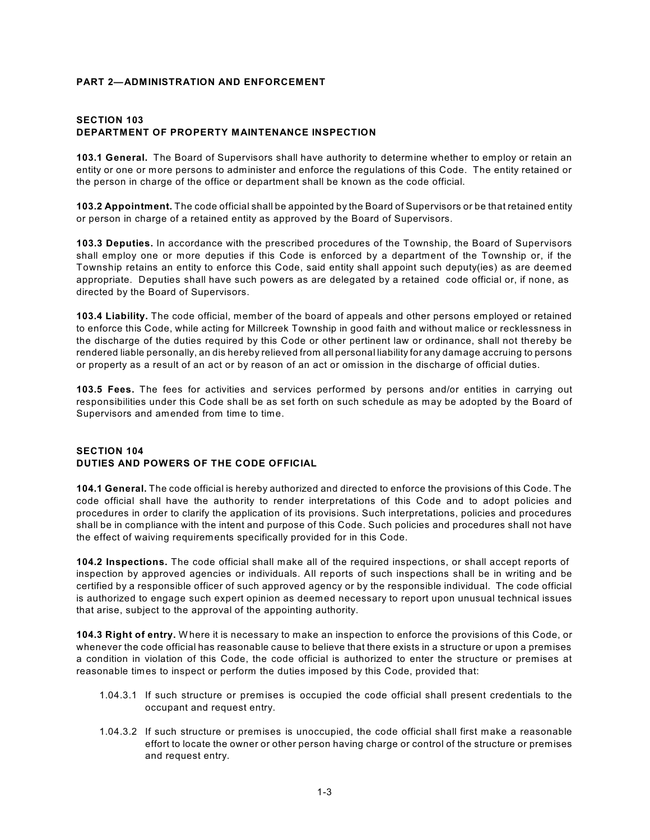#### **PART 2—ADMINISTRATION AND ENFORCEMENT**

#### **SECTION 103 DEPARTMENT OF PROPERTY MAINTENANCE INSPECTION**

**103.1 General.** The Board of Supervisors shall have authority to determine whether to employ or retain an entity or one or more persons to administer and enforce the regulations of this Code. The entity retained or the person in charge of the office or department shall be known as the code official.

**103.2 Appointment.** The code official shall be appointed by the Board of Supervisors or be that retained entity or person in charge of a retained entity as approved by the Board of Supervisors.

**103.3 Deputies.** In accordance with the prescribed procedures of the Township, the Board of Supervisors shall employ one or more deputies if this Code is enforced by a department of the Township or, if the Township retains an entity to enforce this Code, said entity shall appoint such deputy(ies) as are deemed appropriate. Deputies shall have such powers as are delegated by a retained code official or, if none, as directed by the Board of Supervisors.

**103.4 Liability.** The code official, member of the board of appeals and other persons employed or retained to enforce this Code, while acting for Millcreek Township in good faith and without malice or recklessness in the discharge of the duties required by this Code or other pertinent law or ordinance, shall not thereby be rendered liable personally, an dis hereby relieved from all personal liability for any damage accruing to persons or property as a result of an act or by reason of an act or omission in the discharge of official duties.

**103.5 Fees.** The fees for activities and services performed by persons and/or entities in carrying out responsibilities under this Code shall be as set forth on such schedule as may be adopted by the Board of Supervisors and amended from time to time.

#### **SECTION 104 DUTIES AND POWERS OF THE CODE OFFICIAL**

**104.1 General.** The code official is hereby authorized and directed to enforce the provisions of this Code. The code official shall have the authority to render interpretations of this Code and to adopt policies and procedures in order to clarify the application of its provisions. Such interpretations, policies and procedures shall be in compliance with the intent and purpose of this Code. Such policies and procedures shall not have the effect of waiving requirements specifically provided for in this Code.

**104.2 Inspections.** The code official shall make all of the required inspections, or shall accept reports of inspection by approved agencies or individuals. All reports of such inspections shall be in writing and be certified by a responsible officer of such approved agency or by the responsible individual. The code official is authorized to engage such expert opinion as deemed necessary to report upon unusual technical issues that arise, subject to the approval of the appointing authority.

**104.3 Right of entry.** W here it is necessary to make an inspection to enforce the provisions of this Code, or whenever the code official has reasonable cause to believe that there exists in a structure or upon a premises a condition in violation of this Code, the code official is authorized to enter the structure or premises at reasonable times to inspect or perform the duties imposed by this Code, provided that:

- 1.04.3.1 If such structure or premises is occupied the code official shall present credentials to the occupant and request entry.
- 1.04.3.2 If such structure or premises is unoccupied, the code official shall first make a reasonable effort to locate the owner or other person having charge or control of the structure or premises and request entry.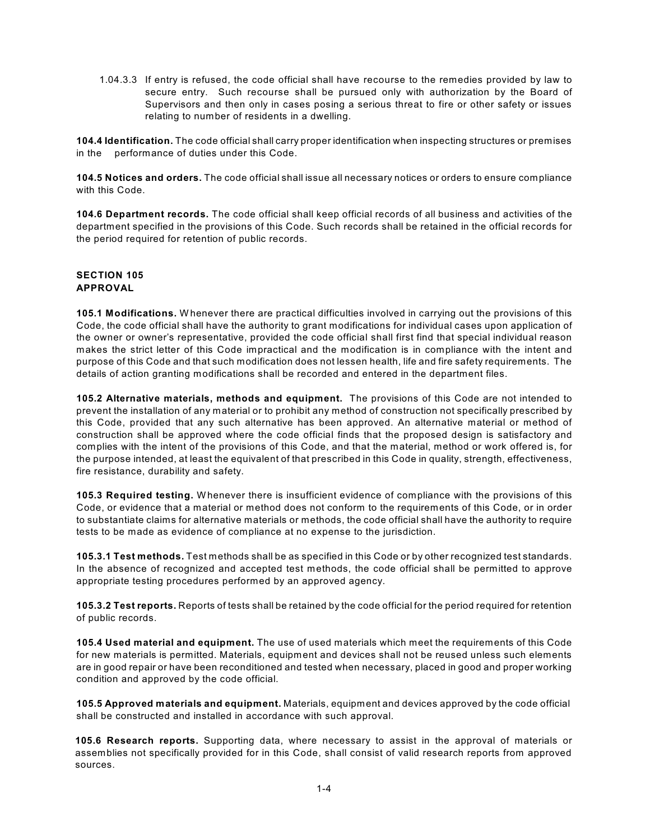1.04.3.3 If entry is refused, the code official shall have recourse to the remedies provided by law to secure entry. Such recourse shall be pursued only with authorization by the Board of Supervisors and then only in cases posing a serious threat to fire or other safety or issues relating to number of residents in a dwelling.

**104.4 Identification.** The code official shall carry proper identification when inspecting structures or premises in the performance of duties under this Code.

**104.5 Notices and orders.** The code official shall issue all necessary notices or orders to ensure compliance with this Code.

**104.6 Department records.** The code official shall keep official records of all business and activities of the department specified in the provisions of this Code. Such records shall be retained in the official records for the period required for retention of public records.

#### **SECTION 105 APPROVAL**

**105.1 Modifications.** W henever there are practical difficulties involved in carrying out the provisions of this Code, the code official shall have the authority to grant modifications for individual cases upon application of the owner or owner's representative, provided the code official shall first find that special individual reason makes the strict letter of this Code impractical and the modification is in compliance with the intent and purpose of this Code and that such modification does not lessen health, life and fire safety requirements. The details of action granting modifications shall be recorded and entered in the department files.

**105.2 Alternative materials, methods and equipment.** The provisions of this Code are not intended to prevent the installation of any material or to prohibit any method of construction not specifically prescribed by this Code, provided that any such alternative has been approved. An alternative material or method of construction shall be approved where the code official finds that the proposed design is satisfactory and complies with the intent of the provisions of this Code, and that the material, method or work offered is, for the purpose intended, at least the equivalent of that prescribed in this Code in quality, strength, effectiveness, fire resistance, durability and safety.

**105.3 Required testing.** W henever there is insufficient evidence of compliance with the provisions of this Code, or evidence that a material or method does not conform to the requirements of this Code, or in order to substantiate claims for alternative materials or methods, the code official shall have the authority to require tests to be made as evidence of compliance at no expense to the jurisdiction.

**105.3.1 Test methods.** Test methods shall be as specified in this Code or by other recognized test standards. In the absence of recognized and accepted test methods, the code official shall be permitted to approve appropriate testing procedures performed by an approved agency.

**105.3.2 Test reports.** Reports of tests shall be retained by the code official for the period required for retention of public records.

**105.4 Used material and equipment.** The use of used materials which meet the requirements of this Code for new materials is permitted. Materials, equipment and devices shall not be reused unless such elements are in good repair or have been reconditioned and tested when necessary, placed in good and proper working condition and approved by the code official.

**105.5 Approved materials and equipment.** Materials, equipment and devices approved by the code official shall be constructed and installed in accordance with such approval.

**105.6 Research reports.** Supporting data, where necessary to assist in the approval of materials or assemblies not specifically provided for in this Code, shall consist of valid research reports from approved sources.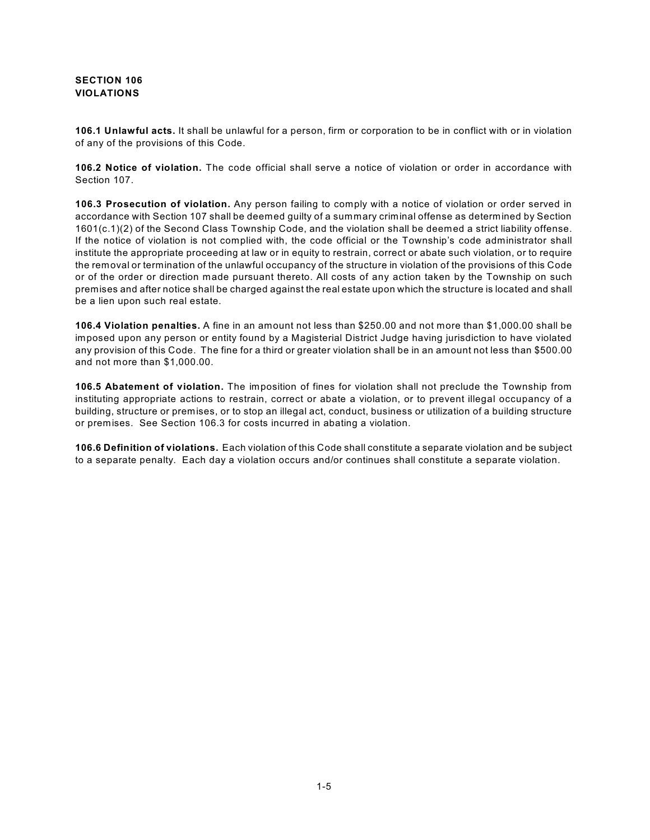#### **SECTION 106 VIOLATIONS**

**106.1 Unlawful acts.** It shall be unlawful for a person, firm or corporation to be in conflict with or in violation of any of the provisions of this Code.

**106.2 Notice of violation.** The code official shall serve a notice of violation or order in accordance with Section 107.

**106.3 Prosecution of violation.** Any person failing to comply with a notice of violation or order served in accordance with Section 107 shall be deemed guilty of a summary criminal offense as determined by Section 1601(c.1)(2) of the Second Class Township Code, and the violation shall be deemed a strict liability offense. If the notice of violation is not complied with, the code official or the Township's code administrator shall institute the appropriate proceeding at law or in equity to restrain, correct or abate such violation, or to require the removal or termination of the unlawful occupancy of the structure in violation of the provisions of this Code or of the order or direction made pursuant thereto. All costs of any action taken by the Township on such premises and after notice shall be charged against the real estate upon which the structure is located and shall be a lien upon such real estate.

**106.4 Violation penalties.** A fine in an amount not less than \$250.00 and not more than \$1,000.00 shall be imposed upon any person or entity found by a Magisterial District Judge having jurisdiction to have violated any provision of this Code. The fine for a third or greater violation shall be in an amount not less than \$500.00 and not more than \$1,000.00.

**106.5 Abatement of violation.** The imposition of fines for violation shall not preclude the Township from instituting appropriate actions to restrain, correct or abate a violation, or to prevent illegal occupancy of a building, structure or premises, or to stop an illegal act, conduct, business or utilization of a building structure or premises. See Section 106.3 for costs incurred in abating a violation.

**106.6 Definition of violations.** Each violation of this Code shall constitute a separate violation and be subject to a separate penalty. Each day a violation occurs and/or continues shall constitute a separate violation.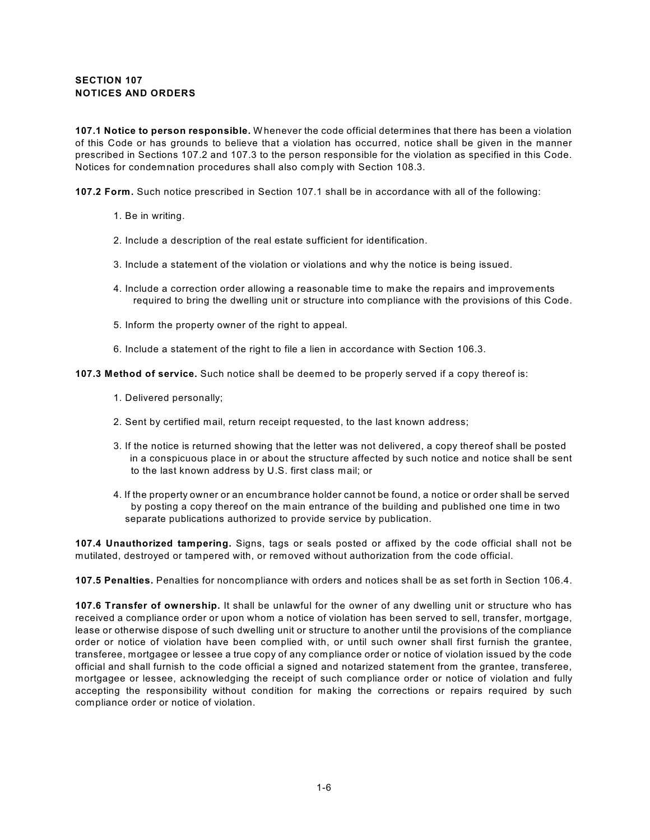#### **SECTION 107 NOTICES AND ORDERS**

**107.1 Notice to person responsible.** W henever the code official determines that there has been a violation of this Code or has grounds to believe that a violation has occurred, notice shall be given in the manner prescribed in Sections 107.2 and 107.3 to the person responsible for the violation as specified in this Code. Notices for condemnation procedures shall also comply with Section 108.3.

**107.2 Form.** Such notice prescribed in Section 107.1 shall be in accordance with all of the following:

- 1. Be in writing.
- 2. Include a description of the real estate sufficient for identification.
- 3. Include a statement of the violation or violations and why the notice is being issued.
- 4. Include a correction order allowing a reasonable time to make the repairs and improvements required to bring the dwelling unit or structure into compliance with the provisions of this Code.
- 5. Inform the property owner of the right to appeal.
- 6. Include a statement of the right to file a lien in accordance with Section 106.3.

**107.3 Method of service.** Such notice shall be deemed to be properly served if a copy thereof is:

- 1. Delivered personally;
- 2. Sent by certified mail, return receipt requested, to the last known address;
- 3. If the notice is returned showing that the letter was not delivered, a copy thereof shall be posted in a conspicuous place in or about the structure affected by such notice and notice shall be sent to the last known address by U.S. first class mail; or
- 4. If the property owner or an encumbrance holder cannot be found, a notice or order shall be served by posting a copy thereof on the main entrance of the building and published one time in two separate publications authorized to provide service by publication.

**107.4 Unauthorized tampering.** Signs, tags or seals posted or affixed by the code official shall not be mutilated, destroyed or tampered with, or removed without authorization from the code official.

**107.5 Penalties.** Penalties for noncompliance with orders and notices shall be as set forth in Section 106.4.

**107.6 Transfer of ownership.** It shall be unlawful for the owner of any dwelling unit or structure who has received a compliance order or upon whom a notice of violation has been served to sell, transfer, mortgage, lease or otherwise dispose of such dwelling unit or structure to another until the provisions of the compliance order or notice of violation have been complied with, or until such owner shall first furnish the grantee, transferee, mortgagee or lessee a true copy of any compliance order or notice of violation issued by the code official and shall furnish to the code official a signed and notarized statement from the grantee, transferee, mortgagee or lessee, acknowledging the receipt of such compliance order or notice of violation and fully accepting the responsibility without condition for making the corrections or repairs required by such compliance order or notice of violation.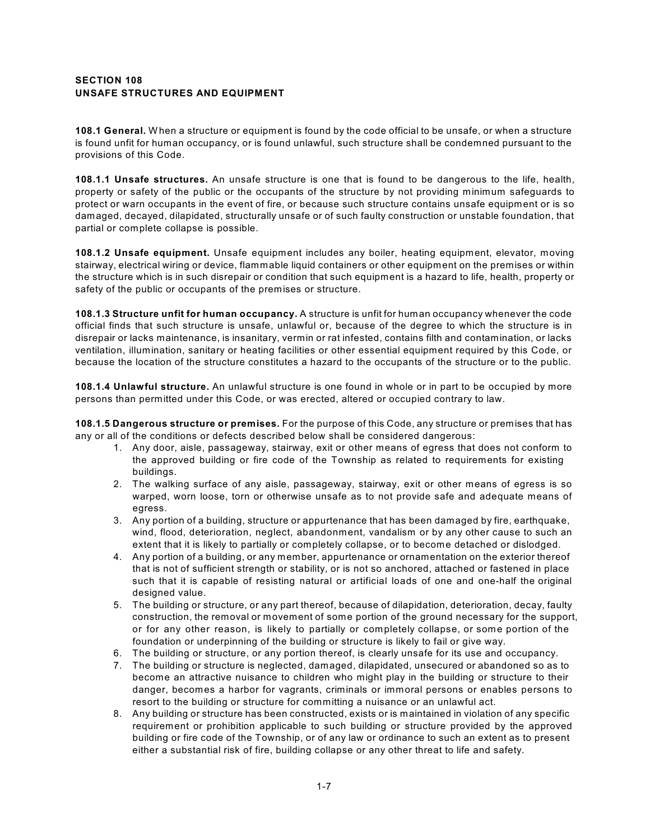#### **SECTION 108 UNSAFE STRUCTURES AND EQUIPMENT**

**108.1 General.** W hen a structure or equipment is found by the code official to be unsafe, or when a structure is found unfit for human occupancy, or is found unlawful, such structure shall be condemned pursuant to the provisions of this Code.

**108.1.1 Unsafe structures.** An unsafe structure is one that is found to be dangerous to the life, health, property or safety of the public or the occupants of the structure by not providing minimum safeguards to protect or warn occupants in the event of fire, or because such structure contains unsafe equipment or is so damaged, decayed, dilapidated, structurally unsafe or of such faulty construction or unstable foundation, that partial or complete collapse is possible.

**108.1.2 Unsafe equipment.** Unsafe equipment includes any boiler, heating equipment, elevator, moving stairway, electrical wiring or device, flammable liquid containers or other equipment on the premises or within the structure which is in such disrepair or condition that such equipment is a hazard to life, health, property or safety of the public or occupants of the premises or structure.

**108.1.3 Structure unfit for human occupancy.** A structure is unfit for human occupancy whenever the code official finds that such structure is unsafe, unlawful or, because of the degree to which the structure is in disrepair or lacks maintenance, is insanitary, vermin or rat infested, contains filth and contamination, or lacks ventilation, illumination, sanitary or heating facilities or other essential equipment required by this Code, or because the location of the structure constitutes a hazard to the occupants of the structure or to the public.

**108.1.4 Unlawful structure.** An unlawful structure is one found in whole or in part to be occupied by more persons than permitted under this Code, or was erected, altered or occupied contrary to law.

**108.1.5 Dangerous structure or premises.** For the purpose of this Code, any structure or premises that has any or all of the conditions or defects described below shall be considered dangerous:

- 1. Any door, aisle, passageway, stairway, exit or other means of egress that does not conform to the approved building or fire code of the Township as related to requirements for existing buildings.
- 2. The walking surface of any aisle, passageway, stairway, exit or other means of egress is so warped, worn loose, torn or otherwise unsafe as to not provide safe and adequate means of egress.
- 3. Any portion of a building, structure or appurtenance that has been damaged by fire, earthquake, wind, flood, deterioration, neglect, abandonment, vandalism or by any other cause to such an extent that it is likely to partially or completely collapse, or to become detached or dislodged.
- 4. Any portion of a building, or any member, appurtenance or ornamentation on the exterior thereof that is not of sufficient strength or stability, or is not so anchored, attached or fastened in place such that it is capable of resisting natural or artificial loads of one and one-half the original designed value.
- 5. The building or structure, or any part thereof, because of dilapidation, deterioration, decay, faulty construction, the removal or movement of some portion of the ground necessary for the support, or for any other reason, is likely to partially or completely collapse, or some portion of the foundation or underpinning of the building or structure is likely to fail or give way.
- 6. The building or structure, or any portion thereof, is clearly unsafe for its use and occupancy.
- 7. The building or structure is neglected, damaged, dilapidated, unsecured or abandoned so as to become an attractive nuisance to children who might play in the building or structure to their danger, becomes a harbor for vagrants, criminals or immoral persons or enables persons to resort to the building or structure for committing a nuisance or an unlawful act.
- 8. Any building or structure has been constructed, exists or is maintained in violation of any specific requirement or prohibition applicable to such building or structure provided by the approved building or fire code of the Township, or of any law or ordinance to such an extent as to present either a substantial risk of fire, building collapse or any other threat to life and safety.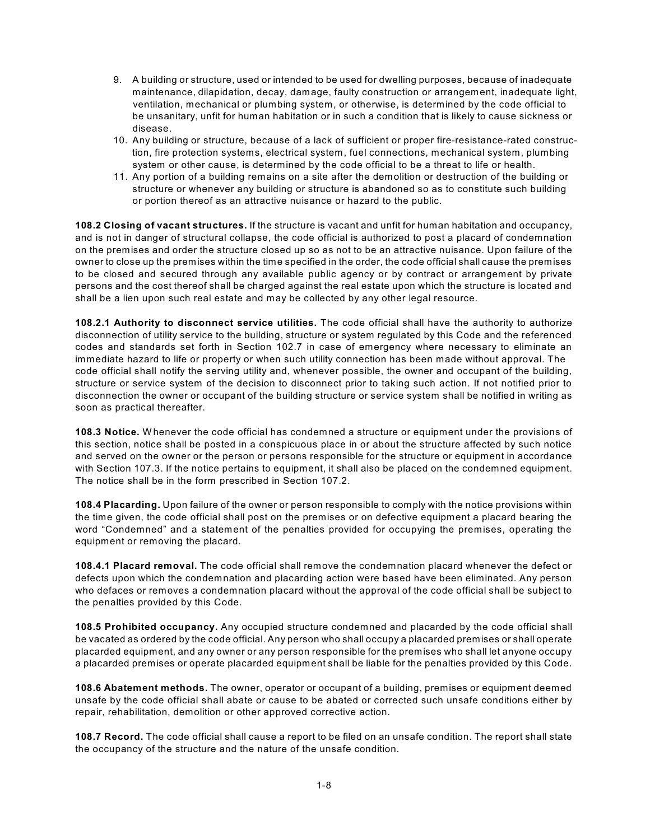- 9. A building or structure, used or intended to be used for dwelling purposes, because of inadequate maintenance, dilapidation, decay, damage, faulty construction or arrangement, inadequate light, ventilation, mechanical or plumbing system, or otherwise, is determined by the code official to be unsanitary, unfit for human habitation or in such a condition that is likely to cause sickness or disease.
- 10. Any building or structure, because of a lack of sufficient or proper fire-resistance-rated construc tion, fire protection systems, electrical system, fuel connections, mechanical system, plumbing system or other cause, is determined by the code official to be a threat to life or health.
- 11. Any portion of a building remains on a site after the demolition or destruction of the building or structure or whenever any building or structure is abandoned so as to constitute such building or portion thereof as an attractive nuisance or hazard to the public.

**108.2 Closing of vacant structures.** If the structure is vacant and unfit for human habitation and occupancy, and is not in danger of structural collapse, the code official is authorized to post a placard of condemnation on the premises and order the structure closed up so as not to be an attractive nuisance. Upon failure of the owner to close up the premises within the time specified in the order, the code official shall cause the premises to be closed and secured through any available public agency or by contract or arrangement by private persons and the cost thereof shall be charged against the real estate upon which the structure is located and shall be a lien upon such real estate and may be collected by any other legal resource.

**108.2.1 Authority to disconnect service utilities.** The code official shall have the authority to authorize disconnection of utility service to the building, structure or system regulated by this Code and the referenced codes and standards set forth in Section 102.7 in case of emergency where necessary to eliminate an immediate hazard to life or property or when such utility connection has been made without approval. The code official shall notify the serving utility and, whenever possible, the owner and occupant of the building, structure or service system of the decision to disconnect prior to taking such action. If not notified prior to disconnection the owner or occupant of the building structure or service system shall be notified in writing as soon as practical thereafter.

**108.3 Notice.** W henever the code official has condemned a structure or equipment under the provisions of this section, notice shall be posted in a conspicuous place in or about the structure affected by such notice and served on the owner or the person or persons responsible for the structure or equipment in accordance with Section 107.3. If the notice pertains to equipment, it shall also be placed on the condemned equipment. The notice shall be in the form prescribed in Section 107.2.

**108.4 Placarding.** Upon failure of the owner or person responsible to comply with the notice provisions within the time given, the code official shall post on the premises or on defective equipment a placard bearing the word "Condemned" and a statement of the penalties provided for occupying the premises, operating the equipment or removing the placard.

**108.4.1 Placard removal.** The code official shall remove the condemnation placard whenever the defect or defects upon which the condemnation and placarding action were based have been eliminated. Any person who defaces or removes a condemnation placard without the approval of the code official shall be subject to the penalties provided by this Code.

**108.5 Prohibited occupancy.** Any occupied structure condemned and placarded by the code official shall be vacated as ordered by the code official. Any person who shall occupy a placarded premises or shall operate placarded equipment, and any owner or any person responsible for the premises who shall let anyone occupy a placarded premises or operate placarded equipment shall be liable for the penalties provided by this Code.

**108.6 Abatement methods.** The owner, operator or occupant of a building, premises or equipment deemed unsafe by the code official shall abate or cause to be abated or corrected such unsafe conditions either by repair, rehabilitation, demolition or other approved corrective action.

**108.7 Record.** The code official shall cause a report to be filed on an unsafe condition. The report shall state the occupancy of the structure and the nature of the unsafe condition.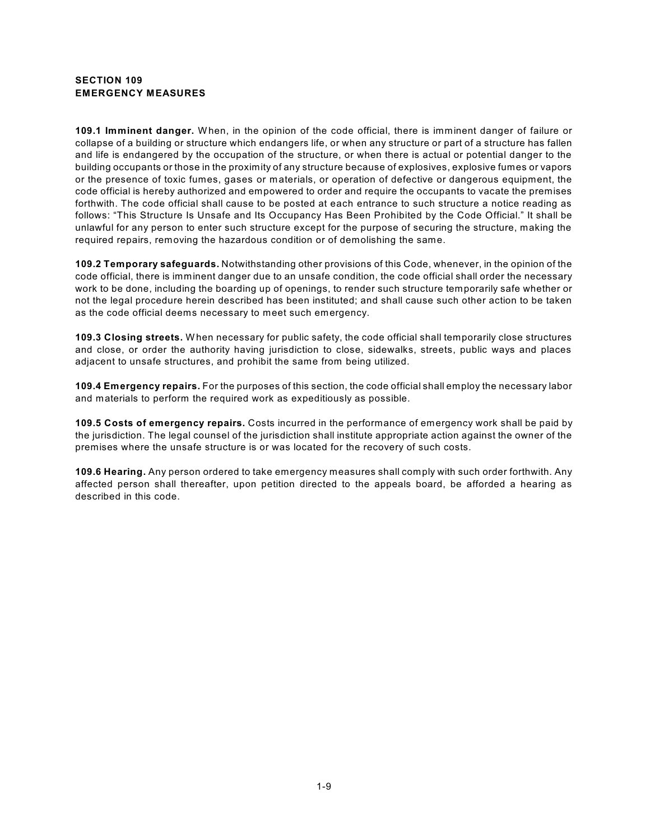#### **SECTION 109 EMERGENCY MEASURES**

**109.1 Imminent danger.** W hen, in the opinion of the code official, there is imminent danger of failure or collapse of a building or structure which endangers life, or when any structure or part of a structure has fallen and life is endangered by the occupation of the structure, or when there is actual or potential danger to the building occupants or those in the proximity of any structure because of explosives, explosive fumes or vapors or the presence of toxic fumes, gases or materials, or operation of defective or dangerous equipment, the code official is hereby authorized and empowered to order and require the occupants to vacate the premises forthwith. The code official shall cause to be posted at each entrance to such structure a notice reading as follows: "This Structure Is Unsafe and Its Occupancy Has Been Prohibited by the Code Official." It shall be unlawful for any person to enter such structure except for the purpose of securing the structure, making the required repairs, removing the hazardous condition or of demolishing the same.

**109.2 Temporary safeguards.** Notwithstanding other provisions of this Code, whenever, in the opinion of the code official, there is imminent danger due to an unsafe condition, the code official shall order the necessary work to be done, including the boarding up of openings, to render such structure temporarily safe whether or not the legal procedure herein described has been instituted; and shall cause such other action to be taken as the code official deems necessary to meet such emergency.

**109.3 Closing streets.** W hen necessary for public safety, the code official shall temporarily close structures and close, or order the authority having jurisdiction to close, sidewalks, streets, public ways and places adjacent to unsafe structures, and prohibit the same from being utilized.

**109.4 Emergency repairs.** For the purposes of this section, the code official shall employ the necessary labor and materials to perform the required work as expeditiously as possible.

**109.5 Costs of emergency repairs.** Costs incurred in the performance of emergency work shall be paid by the jurisdiction. The legal counsel of the jurisdiction shall institute appropriate action against the owner of the premises where the unsafe structure is or was located for the recovery of such costs.

**109.6 Hearing.** Any person ordered to take emergency measures shall comply with such order forthwith. Any affected person shall thereafter, upon petition directed to the appeals board, be afforded a hearing as described in this code.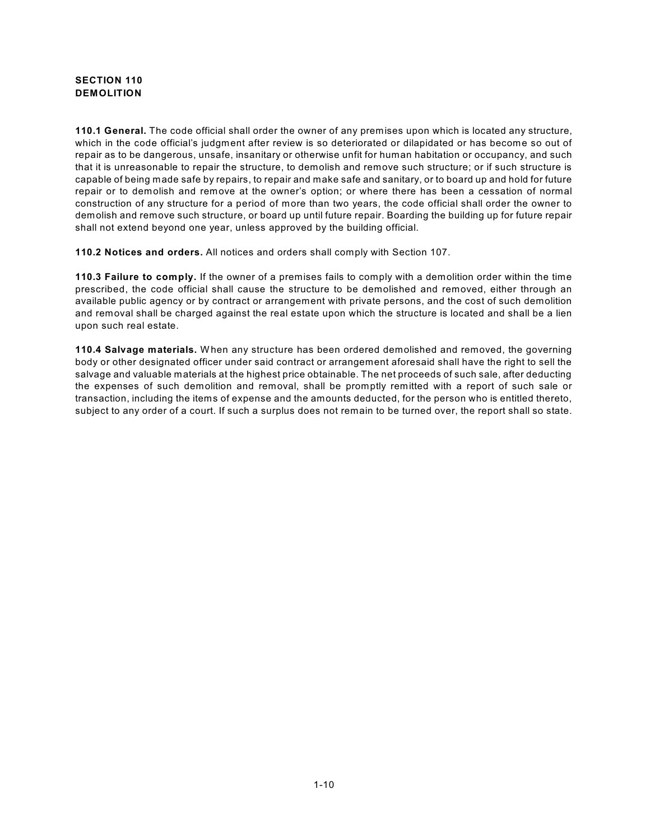#### **SECTION 110 DEMOLITION**

**110.1 General.** The code official shall order the owner of any premises upon which is located any structure, which in the code official's judgment after review is so deteriorated or dilapidated or has become so out of repair as to be dangerous, unsafe, insanitary or otherwise unfit for human habitation or occupancy, and such that it is unreasonable to repair the structure, to demolish and remove such structure; or if such structure is capable of being made safe by repairs, to repair and make safe and sanitary, or to board up and hold for future repair or to demolish and remove at the owner's option; or where there has been a cessation of normal construction of any structure for a period of more than two years, the code official shall order the owner to demolish and remove such structure, or board up until future repair. Boarding the building up for future repair shall not extend beyond one year, unless approved by the building official.

**110.2 Notices and orders.** All notices and orders shall comply with Section 107.

**110.3 Failure to comply.** If the owner of a premises fails to comply with a demolition order within the time prescribed, the code official shall cause the structure to be demolished and removed, either through an available public agency or by contract or arrangement with private persons, and the cost of such demolition and removal shall be charged against the real estate upon which the structure is located and shall be a lien upon such real estate.

**110.4 Salvage materials.** W hen any structure has been ordered demolished and removed, the governing body or other designated officer under said contract or arrangement aforesaid shall have the right to sell the salvage and valuable materials at the highest price obtainable. The net proceeds of such sale, after deducting the expenses of such demolition and removal, shall be promptly remitted with a report of such sale or transaction, including the items of expense and the amounts deducted, for the person who is entitled thereto, subject to any order of a court. If such a surplus does not remain to be turned over, the report shall so state.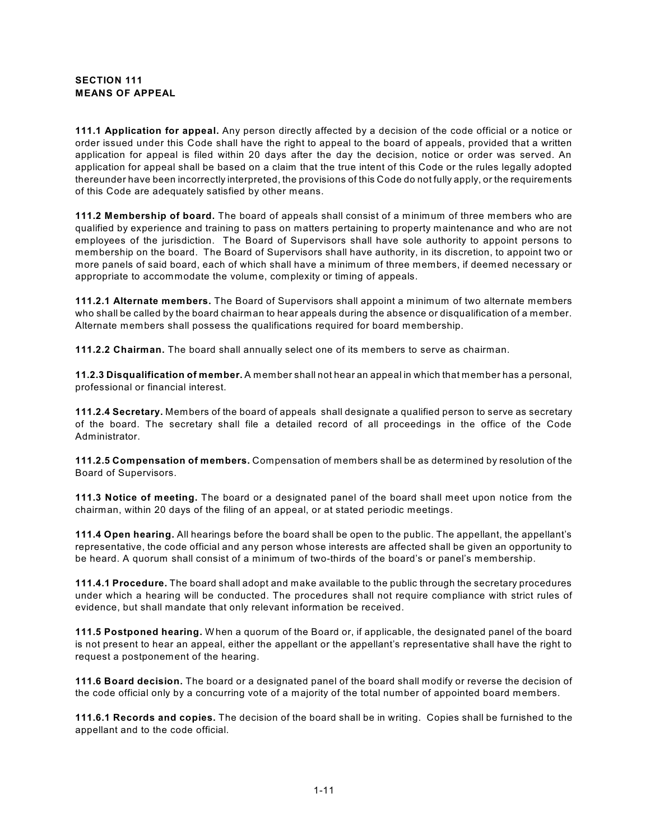#### **SECTION 111 MEANS OF APPEAL**

**111.1 Application for appeal.** Any person directly affected by a decision of the code official or a notice or order issued under this Code shall have the right to appeal to the board of appeals, provided that a written application for appeal is filed within 20 days after the day the decision, notice or order was served. An application for appeal shall be based on a claim that the true intent of this Code or the rules legally adopted thereunder have been incorrectly interpreted, the provisions of this Code do not fully apply, or the requirements of this Code are adequately satisfied by other means.

**111.2 Membership of board.** The board of appeals shall consist of a minimum of three members who are qualified by experience and training to pass on matters pertaining to property maintenance and who are not employees of the jurisdiction. The Board of Supervisors shall have sole authority to appoint persons to membership on the board. The Board of Supervisors shall have authority, in its discretion, to appoint two or more panels of said board, each of which shall have a minimum of three members, if deemed necessary or appropriate to accommodate the volume, complexity or timing of appeals.

**111.2.1 Alternate members.** The Board of Supervisors shall appoint a minimum of two alternate members who shall be called by the board chairman to hear appeals during the absence or disqualification of a member. Alternate members shall possess the qualifications required for board membership.

**111.2.2 Chairman.** The board shall annually select one of its members to serve as chairman.

**11.2.3 Disqualification of member.** A member shall not hear an appeal in which that member has a personal, professional or financial interest.

**111.2.4 Secretary.** Members of the board of appeals shall designate a qualified person to serve as secretary of the board. The secretary shall file a detailed record of all proceedings in the office of the Code Administrator.

**111.2.5 Compensation of members.** Compensation of members shall be as determined by resolution of the Board of Supervisors.

**111.3 Notice of meeting.** The board or a designated panel of the board shall meet upon notice from the chairman, within 20 days of the filing of an appeal, or at stated periodic meetings.

**111.4 Open hearing.** All hearings before the board shall be open to the public. The appellant, the appellant's representative, the code official and any person whose interests are affected shall be given an opportunity to be heard. A quorum shall consist of a minimum of two-thirds of the board's or panel's membership.

**111.4.1 Procedure.** The board shall adopt and make available to the public through the secretary procedures under which a hearing will be conducted. The procedures shall not require compliance with strict rules of evidence, but shall mandate that only relevant information be received.

**111.5 Postponed hearing.** W hen a quorum of the Board or, if applicable, the designated panel of the board is not present to hear an appeal, either the appellant or the appellant's representative shall have the right to request a postponement of the hearing.

**111.6 Board decision.** The board or a designated panel of the board shall modify or reverse the decision of the code official only by a concurring vote of a majority of the total number of appointed board members.

**111.6.1 Records and copies.** The decision of the board shall be in writing. Copies shall be furnished to the appellant and to the code official.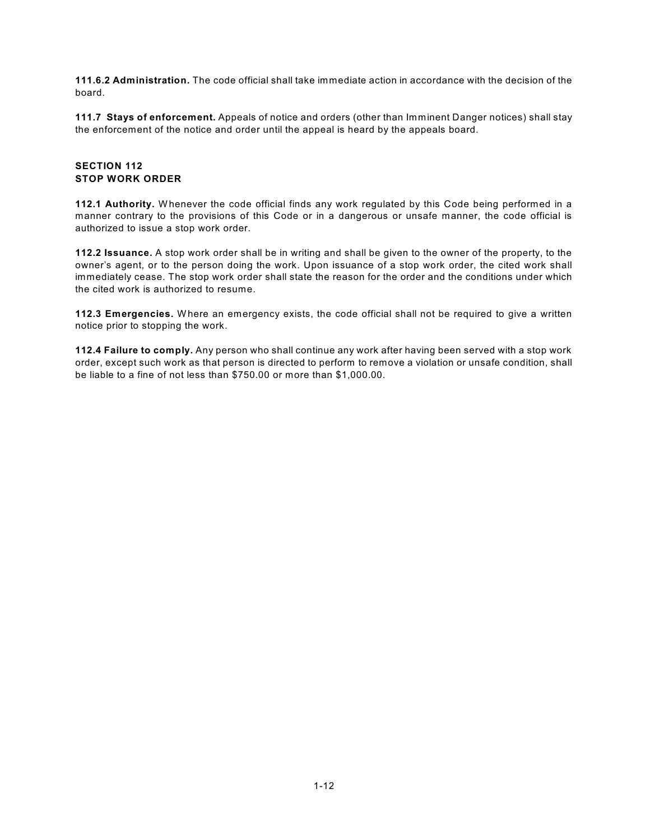**111.6.2 Administration.** The code official shall take immediate action in accordance with the decision of the board.

**111.7 Stays of enforcement.** Appeals of notice and orders (other than Imminent Danger notices) shall stay the enforcement of the notice and order until the appeal is heard by the appeals board.

#### **SECTION 112 STOP WORK ORDER**

**112.1 Authority.** W henever the code official finds any work regulated by this Code being performed in a manner contrary to the provisions of this Code or in a dangerous or unsafe manner, the code official is authorized to issue a stop work order.

**112.2 Issuance.** A stop work order shall be in writing and shall be given to the owner of the property, to the owner's agent, or to the person doing the work. Upon issuance of a stop work order, the cited work shall immediately cease. The stop work order shall state the reason for the order and the conditions under which the cited work is authorized to resume.

**112.3 Emergencies.** W here an emergency exists, the code official shall not be required to give a written notice prior to stopping the work.

**112.4 Failure to comply.** Any person who shall continue any work after having been served with a stop work order, except such work as that person is directed to perform to remove a violation or unsafe condition, shall be liable to a fine of not less than \$750.00 or more than \$1,000.00.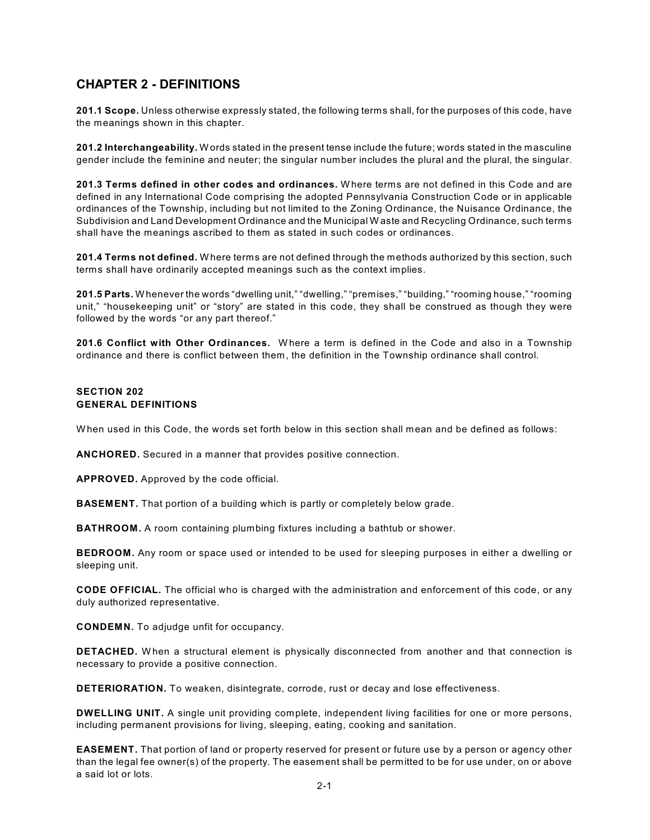# **CHAPTER 2 - DEFINITIONS**

**201.1 Scope.** Unless otherwise expressly stated, the following terms shall, for the purposes of this code, have the meanings shown in this chapter.

**201.2 Interchangeability.** Words stated in the present tense include the future; words stated in the masculine gender include the feminine and neuter; the singular number includes the plural and the plural, the singular.

**201.3 Terms defined in other codes and ordinances.** Where terms are not defined in this Code and are defined in any International Code comprising the adopted Pennsylvania Construction Code or in applicable ordinances of the Township, including but not limited to the Zoning Ordinance, the Nuisance Ordinance, the Subdivision and Land Development Ordinance and the Municipal W aste and Recycling Ordinance, such terms shall have the meanings ascribed to them as stated in such codes or ordinances.

**201.4 Terms not defined.** W here terms are not defined through the methods authorized by this section, such terms shall have ordinarily accepted meanings such as the context implies.

**201.5 Parts.** W henever the words "dwelling unit," "dwelling," "premises," "building," "rooming house," "rooming unit," "housekeeping unit" or "story" are stated in this code, they shall be construed as though they were followed by the words "or any part thereof."

**201.6 Conflict with Other Ordinances.** W here a term is defined in the Code and also in a Township ordinance and there is conflict between them, the definition in the Township ordinance shall control.

#### **SECTION 202 GENERAL DEFINITIONS**

W hen used in this Code, the words set forth below in this section shall mean and be defined as follows:

**ANCHORED.** Secured in a manner that provides positive connection.

**APPROVED.** Approved by the code official.

**BASEMENT.** That portion of a building which is partly or completely below grade.

**BATHROOM.** A room containing plumbing fixtures including a bathtub or shower.

**BEDROOM.** Any room or space used or intended to be used for sleeping purposes in either a dwelling or sleeping unit.

**CODE OFFICIAL.** The official who is charged with the administration and enforcement of this code, or any duly authorized representative.

**CONDEMN.** To adjudge unfit for occupancy.

**DETACHED.** W hen a structural element is physically disconnected from another and that connection is necessary to provide a positive connection.

**DETERIORATION.** To weaken, disintegrate, corrode, rust or decay and lose effectiveness.

**DWELLING UNIT.** A single unit providing complete, independent living facilities for one or more persons, including permanent provisions for living, sleeping, eating, cooking and sanitation.

**EASEMENT.** That portion of land or property reserved for present or future use by a person or agency other than the legal fee owner(s) of the property. The easement shall be permitted to be for use under, on or above a said lot or lots.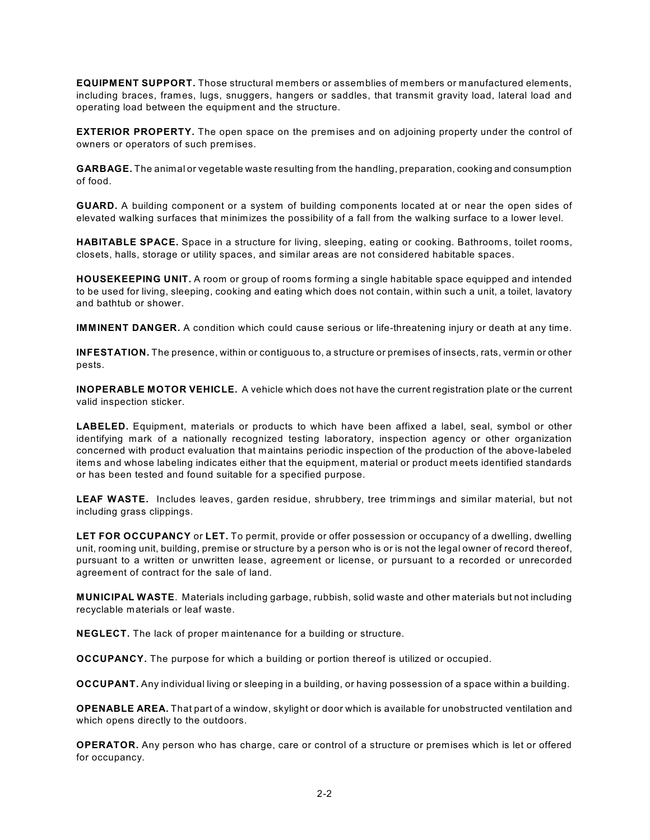**EQUIPMENT SUPPORT.** Those structural members or assemblies of members or manufactured elements, including braces, frames, lugs, snuggers, hangers or saddles, that transmit gravity load, lateral load and operating load between the equipment and the structure.

**EXTERIOR PROPERTY.** The open space on the premises and on adjoining property under the control of owners or operators of such premises.

**GARBAGE.** The animal or vegetable waste resulting from the handling, preparation, cooking and consumption of food.

**GUARD.** A building component or a system of building components located at or near the open sides of elevated walking surfaces that minimizes the possibility of a fall from the walking surface to a lower level.

**HABITABLE SPACE.** Space in a structure for living, sleeping, eating or cooking. Bathrooms, toilet rooms, closets, halls, storage or utility spaces, and similar areas are not considered habitable spaces.

**HOUSEKEEPING UNIT.** A room or group of rooms forming a single habitable space equipped and intended to be used for living, sleeping, cooking and eating which does not contain, within such a unit, a toilet, lavatory and bathtub or shower.

**IMMINENT DANGER.** A condition which could cause serious or life-threatening injury or death at any time.

**INFESTATION.** The presence, within or contiguous to, a structure or premises of insects, rats, vermin or other pests.

**INOPERABLE MOTOR VEHICLE.** A vehicle which does not have the current registration plate or the current valid inspection sticker.

**LABELED.** Equipment, materials or products to which have been affixed a label, seal, symbol or other identifying mark of a nationally recognized testing laboratory, inspection agency or other organization concerned with product evaluation that maintains periodic inspection of the production of the above-labeled items and whose labeling indicates either that the equipment, material or product meets identified standards or has been tested and found suitable for a specified purpose.

**LEAF WASTE.** Includes leaves, garden residue, shrubbery, tree trimmings and similar material, but not including grass clippings.

**LET FOR OCCUPANCY** or **LET.** To permit, provide or offer possession or occupancy of a dwelling, dwelling unit, rooming unit, building, premise or structure by a person who is or is not the legal owner of record thereof, pursuant to a written or unwritten lease, agreement or license, or pursuant to a recorded or unrecorded agreement of contract for the sale of land.

**MUNICIPAL WASTE**. Materials including garbage, rubbish, solid waste and other materials but not including recyclable materials or leaf waste.

**NEGLECT.** The lack of proper maintenance for a building or structure.

**OCCUPANCY.** The purpose for which a building or portion thereof is utilized or occupied.

**OCCUPANT.** Any individual living or sleeping in a building, or having possession of a space within a building.

**OPENABLE AREA.** That part of a window, skylight or door which is available for unobstructed ventilation and which opens directly to the outdoors.

**OPERATOR.** Any person who has charge, care or control of a structure or premises which is let or offered for occupancy.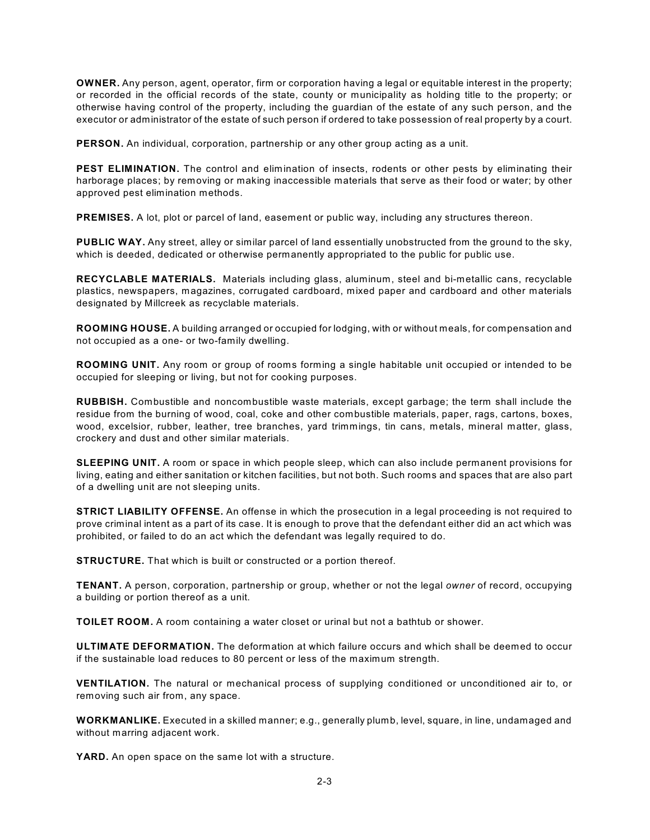**OWNER.** Any person, agent, operator, firm or corporation having a legal or equitable interest in the property; or recorded in the official records of the state, county or municipality as holding title to the property; or otherwise having control of the property, including the guardian of the estate of any such person, and the executor or administrator of the estate of such person if ordered to take possession of real property by a court.

**PERSON.** An individual, corporation, partnership or any other group acting as a unit.

**PEST ELIMINATION.** The control and elimination of insects, rodents or other pests by eliminating their harborage places; by removing or making inaccessible materials that serve as their food or water; by other approved pest elimination methods.

**PREMISES.** A lot, plot or parcel of land, easement or public way, including any structures thereon.

**PUBLIC WAY.** Any street, alley or similar parcel of land essentially unobstructed from the ground to the sky, which is deeded, dedicated or otherwise permanently appropriated to the public for public use.

**RECYCLABLE MATERIALS.** Materials including glass, aluminum, steel and bi-metallic cans, recyclable plastics, newspapers, magazines, corrugated cardboard, mixed paper and cardboard and other materials designated by Millcreek as recyclable materials.

**ROOMING HOUSE.** A building arranged or occupied for lodging, with or without meals, for compensation and not occupied as a one- or two-family dwelling.

**ROOMING UNIT.** Any room or group of rooms forming a single habitable unit occupied or intended to be occupied for sleeping or living, but not for cooking purposes.

**RUBBISH.** Combustible and noncombustible waste materials, except garbage; the term shall include the residue from the burning of wood, coal, coke and other combustible materials, paper, rags, cartons, boxes, wood, excelsior, rubber, leather, tree branches, yard trimmings, tin cans, metals, mineral matter, glass, crockery and dust and other similar materials.

**SLEEPING UNIT.** A room or space in which people sleep, which can also include permanent provisions for living, eating and either sanitation or kitchen facilities, but not both. Such rooms and spaces that are also part of a dwelling unit are not sleeping units.

**STRICT LIABILITY OFFENSE.** An offense in which the prosecution in a legal proceeding is not required to prove criminal intent as a part of its case. It is enough to prove that the defendant either did an act which was prohibited, or failed to do an act which the defendant was legally required to do.

**STRUCTURE.** That which is built or constructed or a portion thereof.

**TENANT.** A person, corporation, partnership or group, whether or not the legal *owner* of record, occupying a building or portion thereof as a unit.

**TOILET ROOM.** A room containing a water closet or urinal but not a bathtub or shower.

**ULTIMATE DEFORMATION.** The deformation at which failure occurs and which shall be deemed to occur if the sustainable load reduces to 80 percent or less of the maximum strength.

**VENTILATION.** The natural or mechanical process of supplying conditioned or unconditioned air to, or removing such air from, any space.

**WORKMANLIKE.** Executed in a skilled manner; e.g., generally plumb, level, square, in line, undamaged and without marring adjacent work.

**YARD.** An open space on the same lot with a structure.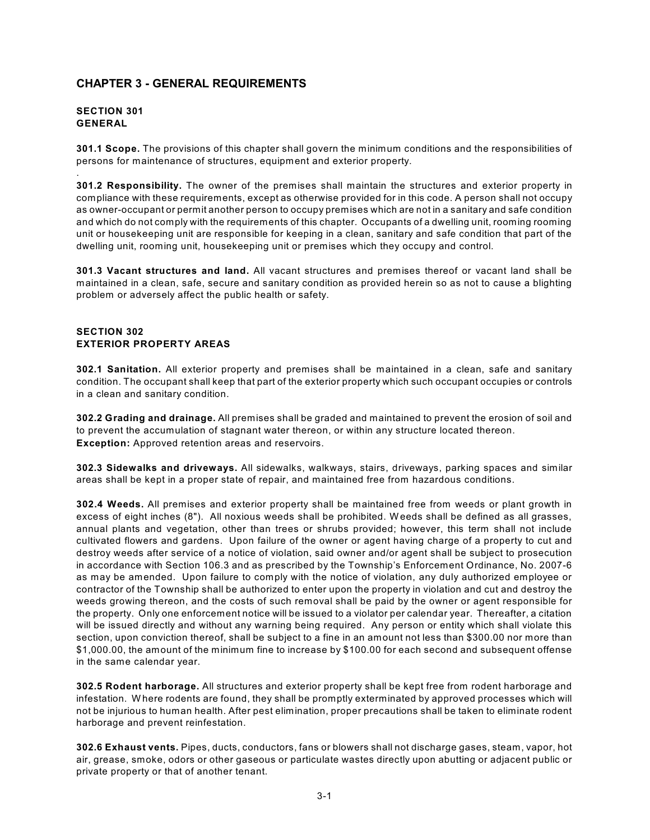# **CHAPTER 3 - GENERAL REQUIREMENTS**

#### **SECTION 301 GENERAL**

.

**301.1 Scope.** The provisions of this chapter shall govern the minimum conditions and the responsibilities of persons for maintenance of structures, equipment and exterior property.

**301.2 Responsibility.** The owner of the premises shall maintain the structures and exterior property in compliance with these requirements, except as otherwise provided for in this code. A person shall not occupy as owner-occupant or permit another person to occupy premises which are not in a sanitary and safe condition and which do not comply with the requirements of this chapter. Occupants of a dwelling unit, rooming rooming unit or housekeeping unit are responsible for keeping in a clean, sanitary and safe condition that part of the dwelling unit, rooming unit, housekeeping unit or premises which they occupy and control.

**301.3 Vacant structures and land.** All vacant structures and premises thereof or vacant land shall be maintained in a clean, safe, secure and sanitary condition as provided herein so as not to cause a blighting problem or adversely affect the public health or safety.

#### **SECTION 302 EXTERIOR PROPERTY AREAS**

**302.1 Sanitation.** All exterior property and premises shall be maintained in a clean, safe and sanitary condition. The occupant shall keep that part of the exterior property which such occupant occupies or controls in a clean and sanitary condition.

**302.2 Grading and drainage.** All premises shall be graded and maintained to prevent the erosion of soil and to prevent the accumulation of stagnant water thereon, or within any structure located thereon. **Exception:** Approved retention areas and reservoirs.

**302.3 Sidewalks and driveways.** All sidewalks, walkways, stairs, driveways, parking spaces and similar areas shall be kept in a proper state of repair, and maintained free from hazardous conditions.

**302.4 Weeds.** All premises and exterior property shall be maintained free from weeds or plant growth in excess of eight inches (8"). All noxious weeds shall be prohibited. Weeds shall be defined as all grasses, annual plants and vegetation, other than trees or shrubs provided; however, this term shall not include cultivated flowers and gardens. Upon failure of the owner or agent having charge of a property to cut and destroy weeds after service of a notice of violation, said owner and/or agent shall be subject to prosecution in accordance with Section 106.3 and as prescribed by the Township's Enforcement Ordinance, No. 2007-6 as may be amended. Upon failure to comply with the notice of violation, any duly authorized employee or contractor of the Township shall be authorized to enter upon the property in violation and cut and destroy the weeds growing thereon, and the costs of such removal shall be paid by the owner or agent responsible for the property. Only one enforcement notice will be issued to a violator per calendar year. Thereafter, a citation will be issued directly and without any warning being required. Any person or entity which shall violate this section, upon conviction thereof, shall be subject to a fine in an amount not less than \$300.00 nor more than \$1,000.00, the amount of the minimum fine to increase by \$100.00 for each second and subsequent offense in the same calendar year.

**302.5 Rodent harborage.** All structures and exterior property shall be kept free from rodent harborage and infestation. W here rodents are found, they shall be promptly exterminated by approved processes which will not be injurious to human health. After pest elimination, proper precautions shall be taken to eliminate rodent harborage and prevent reinfestation.

**302.6 Exhaust vents.** Pipes, ducts, conductors, fans or blowers shall not discharge gases, steam, vapor, hot air, grease, smoke, odors or other gaseous or particulate wastes directly upon abutting or adjacent public or private property or that of another tenant.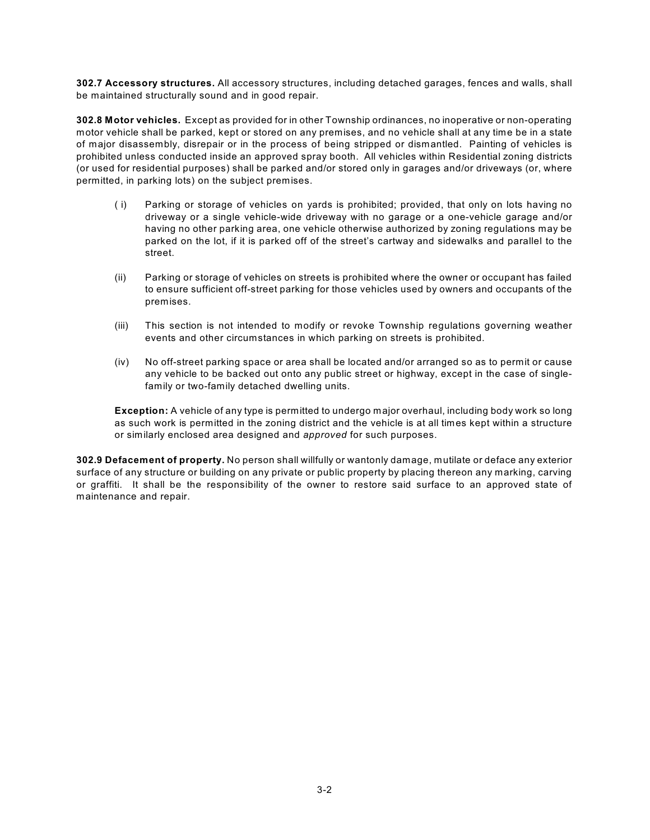**302.7 Accessory structures.** All accessory structures, including detached garages, fences and walls, shall be maintained structurally sound and in good repair.

**302.8 Motor vehicles.** Except as provided for in other Township ordinances, no inoperative or non-operating motor vehicle shall be parked, kept or stored on any premises, and no vehicle shall at any time be in a state of major disassembly, disrepair or in the process of being stripped or dismantled. Painting of vehicles is prohibited unless conducted inside an approved spray booth. All vehicles within Residential zoning districts (or used for residential purposes) shall be parked and/or stored only in garages and/or driveways (or, where permitted, in parking lots) on the subject premises.

- ( i) Parking or storage of vehicles on yards is prohibited; provided, that only on lots having no driveway or a single vehicle-wide driveway with no garage or a one-vehicle garage and/or having no other parking area, one vehicle otherwise authorized by zoning regulations may be parked on the lot, if it is parked off of the street's cartway and sidewalks and parallel to the street.
- (ii) Parking or storage of vehicles on streets is prohibited where the owner or occupant has failed to ensure sufficient off-street parking for those vehicles used by owners and occupants of the premises.
- (iii) This section is not intended to modify or revoke Township regulations governing weather events and other circumstances in which parking on streets is prohibited.
- (iv) No off-street parking space or area shall be located and/or arranged so as to permit or cause any vehicle to be backed out onto any public street or highway, except in the case of singlefamily or two-family detached dwelling units.

**Exception:** A vehicle of any type is permitted to undergo major overhaul, including body work so long as such work is permitted in the zoning district and the vehicle is at all times kept within a structure or similarly enclosed area designed and *approved* for such purposes.

**302.9 Defacement of property.** No person shall willfully or wantonly damage, mutilate or deface any exterior surface of any structure or building on any private or public property by placing thereon any marking, carving or graffiti. It shall be the responsibility of the owner to restore said surface to an approved state of maintenance and repair.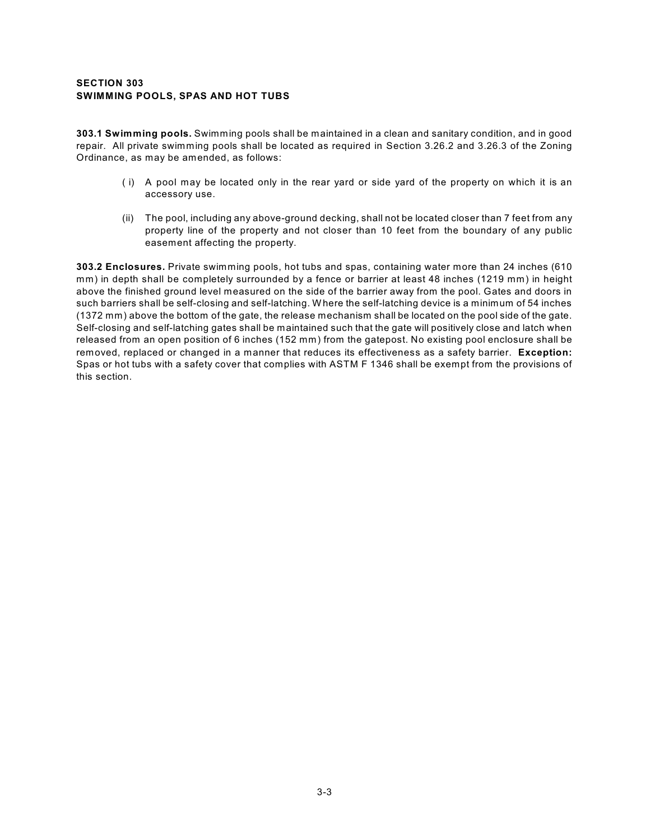#### **SECTION 303 SWIMMING POOLS, SPAS AND HOT TUBS**

**303.1 Swimming pools.** Swimming pools shall be maintained in a clean and sanitary condition, and in good repair. All private swimming pools shall be located as required in Section 3.26.2 and 3.26.3 of the Zoning Ordinance, as may be amended, as follows:

- ( i) A pool may be located only in the rear yard or side yard of the property on which it is an accessory use.
- (ii) The pool, including any above-ground decking, shall not be located closer than 7 feet from any property line of the property and not closer than 10 feet from the boundary of any public easement affecting the property.

**303.2 Enclosures.** Private swimming pools, hot tubs and spas, containing water more than 24 inches (610 mm) in depth shall be completely surrounded by a fence or barrier at least 48 inches (1219 mm) in height above the finished ground level measured on the side of the barrier away from the pool. Gates and doors in such barriers shall be self-closing and self-latching. W here the self-latching device is a minimum of 54 inches (1372 mm) above the bottom of the gate, the release mechanism shall be located on the pool side of the gate. Self-closing and self-latching gates shall be maintained such that the gate will positively close and latch when released from an open position of 6 inches (152 mm) from the gatepost. No existing pool enclosure shall be removed, replaced or changed in a manner that reduces its effectiveness as a safety barrier. **Exception:** Spas or hot tubs with a safety cover that complies with ASTM F 1346 shall be exempt from the provisions of this section.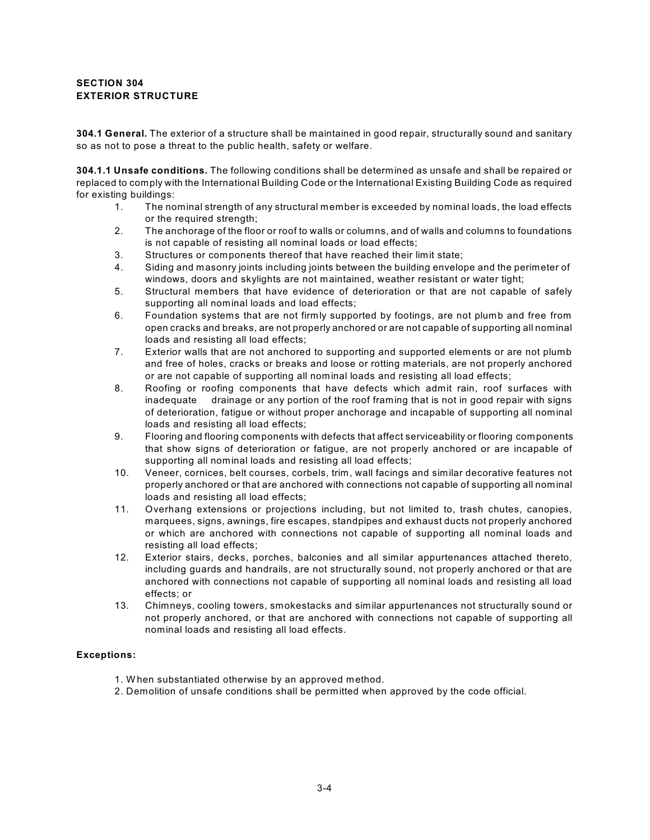#### **SECTION 304 EXTERIOR STRUCTURE**

**304.1 General.** The exterior of a structure shall be maintained in good repair, structurally sound and sanitary so as not to pose a threat to the public health, safety or welfare.

**304.1.1 Unsafe conditions.** The following conditions shall be determined as unsafe and shall be repaired or replaced to comply with the International Building Code or the International Existing Building Code as required for existing buildings:

- 1. The nominal strength of any structural member is exceeded by nominal loads, the load effects or the required strength;
- 2. The anchorage of the floor or roof to walls or columns, and of walls and columns to foundations is not capable of resisting all nominal loads or load effects;
- 3. Structures or components thereof that have reached their limit state;
- 4. Siding and masonry joints including joints between the building envelope and the perimeter of windows, doors and skylights are not maintained, weather resistant or water tight;
- 5. Structural members that have evidence of deterioration or that are not capable of safely supporting all nominal loads and load effects;
- 6. Foundation systems that are not firmly supported by footings, are not plumb and free from open cracks and breaks, are not properly anchored or are not capable of supporting all nominal loads and resisting all load effects;
- 7. Exterior walls that are not anchored to supporting and supported elements or are not plumb and free of holes, cracks or breaks and loose or rotting materials, are not properly anchored or are not capable of supporting all nominal loads and resisting all load effects;
- 8. Roofing or roofing components that have defects which admit rain, roof surfaces with inadequate drainage or any portion of the roof framing that is not in good repair with signs of deterioration, fatigue or without proper anchorage and incapable of supporting all nominal loads and resisting all load effects;
- 9. Flooring and flooring components with defects that affect serviceability or flooring components that show signs of deterioration or fatigue, are not properly anchored or are incapable of supporting all nominal loads and resisting all load effects;
- 10. Veneer, cornices, belt courses, corbels, trim, wall facings and similar decorative features not properly anchored or that are anchored with connections not capable of supporting all nominal loads and resisting all load effects;
- 11. Overhang extensions or projections including, but not limited to, trash chutes, canopies, marquees, signs, awnings, fire escapes, standpipes and exhaust ducts not properly anchored or which are anchored with connections not capable of supporting all nominal loads and resisting all load effects;
- 12. Exterior stairs, decks, porches, balconies and all similar appurtenances attached thereto, including guards and handrails, are not structurally sound, not properly anchored or that are anchored with connections not capable of supporting all nominal loads and resisting all load effects; or
- 13. Chimneys, cooling towers, smokestacks and similar appurtenances not structurally sound or not properly anchored, or that are anchored with connections not capable of supporting all nominal loads and resisting all load effects.

#### **Exceptions:**

- 1. W hen substantiated otherwise by an approved method.
- 2. Demolition of unsafe conditions shall be permitted when approved by the code official.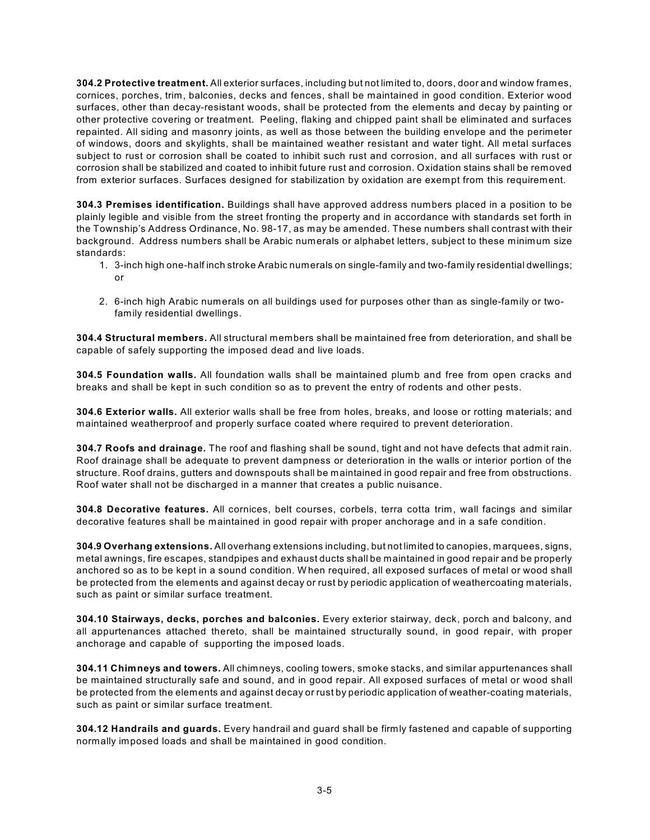**304.2 Protective treatment.** All exterior surfaces, including but not limited to, doors, door and window frames, cornices, porches, trim, balconies, decks and fences, shall be maintained in good condition. Exterior wood surfaces, other than decay-resistant woods, shall be protected from the elements and decay by painting or other protective covering or treatment. Peeling, flaking and chipped paint shall be eliminated and surfaces repainted. All siding and masonry joints, as well as those between the building envelope and the perimeter of windows, doors and skylights, shall be maintained weather resistant and water tight. All metal surfaces subject to rust or corrosion shall be coated to inhibit such rust and corrosion, and all surfaces with rust or corrosion shall be stabilized and coated to inhibit future rust and corrosion. Oxidation stains shall be removed from exterior surfaces. Surfaces designed for stabilization by oxidation are exempt from this requirement.

**304.3 Premises identification.** Buildings shall have approved address numbers placed in a position to be plainly legible and visible from the street fronting the property and in accordance with standards set forth in the Township's Address Ordinance, No. 98-17, as may be amended. These numbers shall contrast with their background. Address numbers shall be Arabic numerals or alphabet letters, subject to these minimum size standards:

- 1. 3-inch high one-half inch stroke Arabic numerals on single-family and two-family residential dwellings; or
- 2. 6-inch high Arabic numerals on all buildings used for purposes other than as single-family or twofamily residential dwellings.

**304.4 Structural members.** All structural members shall be maintained free from deterioration, and shall be capable of safely supporting the imposed dead and live loads.

**304.5 Foundation walls.** All foundation walls shall be maintained plumb and free from open cracks and breaks and shall be kept in such condition so as to prevent the entry of rodents and other pests.

**304.6 Exterior walls.** All exterior walls shall be free from holes, breaks, and loose or rotting materials; and maintained weatherproof and properly surface coated where required to prevent deterioration.

**304.7 Roofs and drainage.** The roof and flashing shall be sound, tight and not have defects that admit rain. Roof drainage shall be adequate to prevent dampness or deterioration in the walls or interior portion of the structure. Roof drains, gutters and downspouts shall be maintained in good repair and free from obstructions. Roof water shall not be discharged in a manner that creates a public nuisance.

**304.8 Decorative features.** All cornices, belt courses, corbels, terra cotta trim, wall facings and similar decorative features shall be maintained in good repair with proper anchorage and in a safe condition.

**304.9 Overhang extensions.** All overhang extensions including, but not limited to canopies, marquees, signs, metal awnings, fire escapes, standpipes and exhaust ducts shall be maintained in good repair and be properly anchored so as to be kept in a sound condition. W hen required, all exposed surfaces of metal or wood shall be protected from the elements and against decay or rust by periodic application of weathercoating materials, such as paint or similar surface treatment.

**304.10 Stairways, decks, porches and balconies.** Every exterior stairway, deck, porch and balcony, and all appurtenances attached thereto, shall be maintained structurally sound, in good repair, with proper anchorage and capable of supporting the imposed loads.

**304.11 Chimneys and towers.** All chimneys, cooling towers, smoke stacks, and similar appurtenances shall be maintained structurally safe and sound, and in good repair. All exposed surfaces of metal or wood shall be protected from the elements and against decay or rust by periodic application of weather-coating materials, such as paint or similar surface treatment.

**304.12 Handrails and guards.** Every handrail and guard shall be firmly fastened and capable of supporting normally imposed loads and shall be maintained in good condition.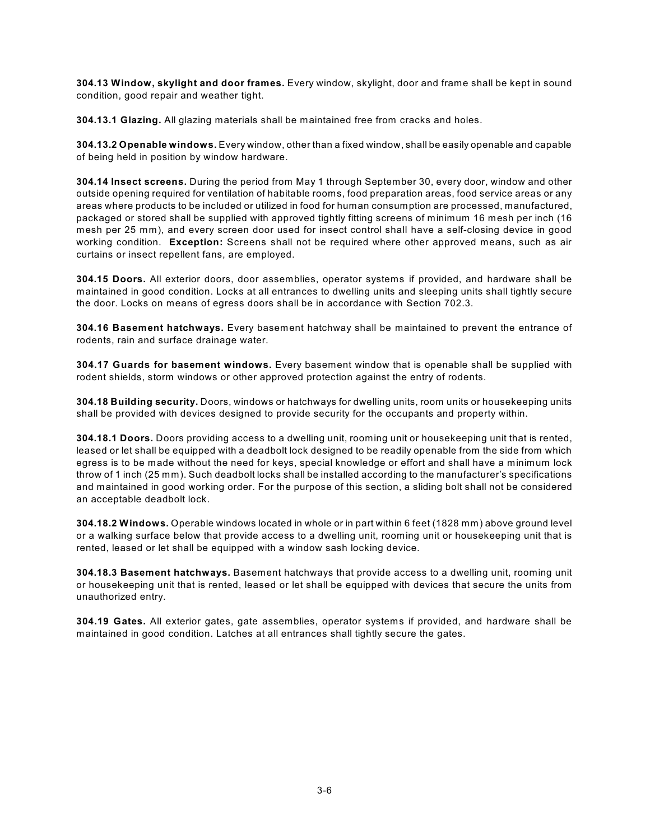**304.13 Window, skylight and door frames.** Every window, skylight, door and frame shall be kept in sound condition, good repair and weather tight.

**304.13.1 Glazing.** All glazing materials shall be maintained free from cracks and holes.

**304.13.2 Openable windows.** Every window, other than a fixed window, shall be easily openable and capable of being held in position by window hardware.

**304.14 Insect screens.** During the period from May 1 through September 30, every door, window and other outside opening required for ventilation of habitable rooms, food preparation areas, food service areas or any areas where products to be included or utilized in food for human consumption are processed, manufactured, packaged or stored shall be supplied with approved tightly fitting screens of minimum 16 mesh per inch (16 mesh per 25 mm), and every screen door used for insect control shall have a self-closing device in good working condition. **Exception:** Screens shall not be required where other approved means, such as air curtains or insect repellent fans, are employed.

**304.15 Doors.** All exterior doors, door assemblies, operator systems if provided, and hardware shall be maintained in good condition. Locks at all entrances to dwelling units and sleeping units shall tightly secure the door. Locks on means of egress doors shall be in accordance with Section 702.3.

**304.16 Basement hatchways.** Every basement hatchway shall be maintained to prevent the entrance of rodents, rain and surface drainage water.

**304.17 Guards for basement windows.** Every basement window that is openable shall be supplied with rodent shields, storm windows or other approved protection against the entry of rodents.

**304.18 Building security.** Doors, windows or hatchways for dwelling units, room units or housekeeping units shall be provided with devices designed to provide security for the occupants and property within.

**304.18.1 Doors.** Doors providing access to a dwelling unit, rooming unit or housekeeping unit that is rented, leased or let shall be equipped with a deadbolt lock designed to be readily openable from the side from which egress is to be made without the need for keys, special knowledge or effort and shall have a minimum lock throw of 1 inch (25 mm). Such deadbolt locks shall be installed according to the manufacturer's specifications and maintained in good working order. For the purpose of this section, a sliding bolt shall not be considered an acceptable deadbolt lock.

**304.18.2 Windows.** Operable windows located in whole or in part within 6 feet (1828 mm) above ground level or a walking surface below that provide access to a dwelling unit, rooming unit or housekeeping unit that is rented, leased or let shall be equipped with a window sash locking device.

**304.18.3 Basement hatchways.** Basement hatchways that provide access to a dwelling unit, rooming unit or housekeeping unit that is rented, leased or let shall be equipped with devices that secure the units from unauthorized entry.

**304.19 Gates.** All exterior gates, gate assemblies, operator systems if provided, and hardware shall be maintained in good condition. Latches at all entrances shall tightly secure the gates.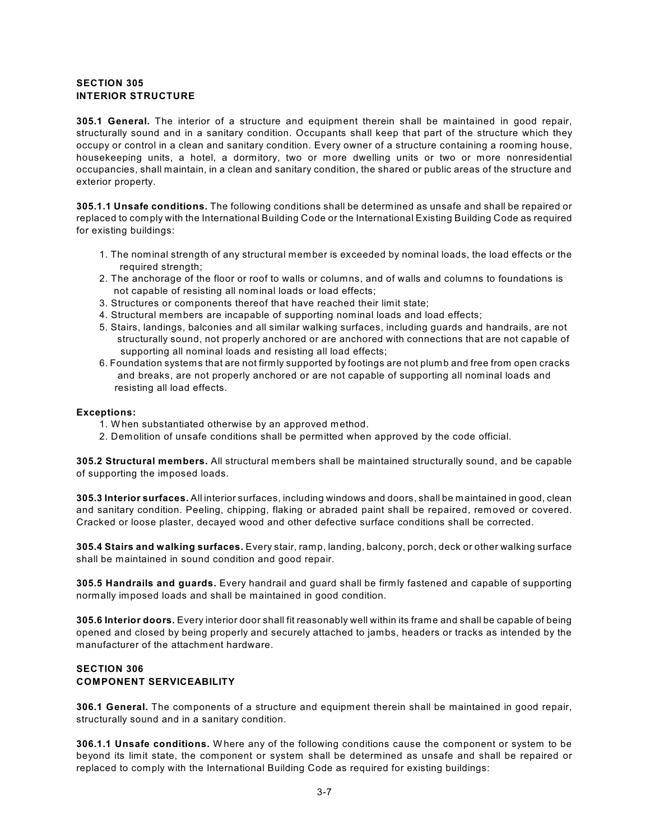#### **SECTION 305 INTERIOR STRUCTURE**

**305.1 General.** The interior of a structure and equipment therein shall be maintained in good repair, structurally sound and in a sanitary condition. Occupants shall keep that part of the structure which they occupy or control in a clean and sanitary condition. Every owner of a structure containing a rooming house, housekeeping units, a hotel, a dormitory, two or more dwelling units or two or more nonresidential occupancies, shall maintain, in a clean and sanitary condition, the shared or public areas of the structure and exterior property.

**305.1.1 Unsafe conditions.** The following conditions shall be determined as unsafe and shall be repaired or replaced to comply with the International Building Code or the International Existing Building Code as required for existing buildings:

- 1. The nominal strength of any structural member is exceeded by nominal loads, the load effects or the required strength;
- 2. The anchorage of the floor or roof to walls or columns, and of walls and columns to foundations is not capable of resisting all nominal loads or load effects;
- 3. Structures or components thereof that have reached their limit state;
- 4. Structural members are incapable of supporting nominal loads and load effects;
- 5. Stairs, landings, balconies and all similar walking surfaces, including guards and handrails, are not structurally sound, not properly anchored or are anchored with connections that are not capable of supporting all nominal loads and resisting all load effects;
- 6. Foundation systems that are not firmly supported by footings are not plumb and free from open cracks and breaks, are not properly anchored or are not capable of supporting all nominal loads and resisting all load effects.

#### **Exceptions:**

- 1. W hen substantiated otherwise by an approved method.
- 2. Demolition of unsafe conditions shall be permitted when approved by the code official.

**305.2 Structural members.** All structural members shall be maintained structurally sound, and be capable of supporting the imposed loads.

**305.3 Interior surfaces.** All interior surfaces, including windows and doors, shall be maintained in good, clean and sanitary condition. Peeling, chipping, flaking or abraded paint shall be repaired, removed or covered. Cracked or loose plaster, decayed wood and other defective surface conditions shall be corrected.

**305.4 Stairs and walking surfaces.** Every stair, ramp, landing, balcony, porch, deck or other walking surface shall be maintained in sound condition and good repair.

**305.5 Handrails and guards.** Every handrail and guard shall be firmly fastened and capable of supporting normally imposed loads and shall be maintained in good condition.

**305.6 Interior doors.** Every interior door shall fit reasonably well within its frame and shall be capable of being opened and closed by being properly and securely attached to jambs, headers or tracks as intended by the manufacturer of the attachment hardware.

#### **SECTION 306 COMPONENT SERVICEABILITY**

**306.1 General.** The components of a structure and equipment therein shall be maintained in good repair, structurally sound and in a sanitary condition.

**306.1.1 Unsafe conditions.** W here any of the following conditions cause the component or system to be beyond its limit state, the component or system shall be determined as unsafe and shall be repaired or replaced to comply with the International Building Code as required for existing buildings: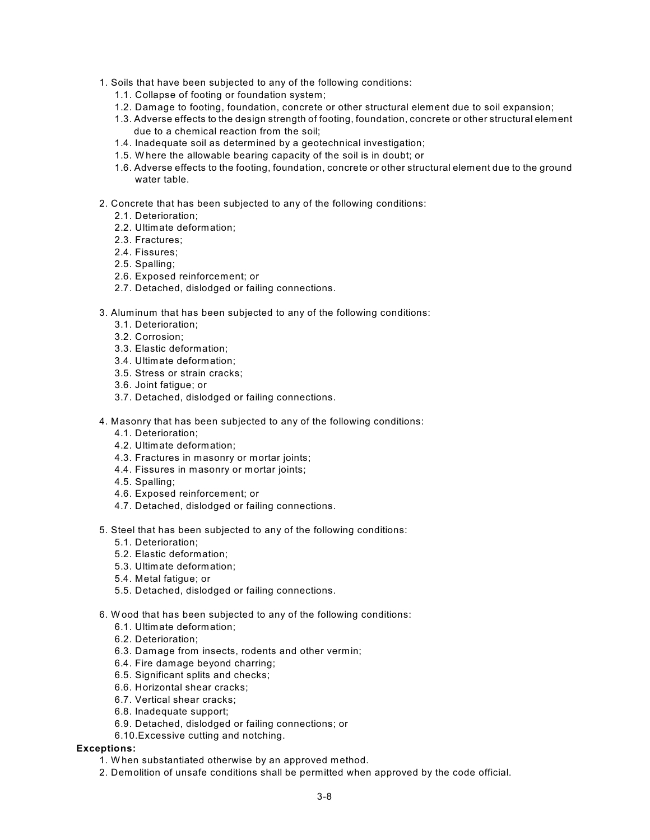- 1. Soils that have been subjected to any of the following conditions:
	- 1.1. Collapse of footing or foundation system;
	- 1.2. Damage to footing, foundation, concrete or other structural element due to soil expansion;
	- 1.3. Adverse effects to the design strength of footing, foundation, concrete or other structural element due to a chemical reaction from the soil;
	- 1.4. Inadequate soil as determined by a geotechnical investigation;
	- 1.5. W here the allowable bearing capacity of the soil is in doubt; or
	- 1.6. Adverse effects to the footing, foundation, concrete or other structural element due to the ground water table.
- 2. Concrete that has been subjected to any of the following conditions:
	- 2.1. Deterioration;
	- 2.2. Ultimate deformation;
	- 2.3. Fractures;
	- 2.4. Fissures;
	- 2.5. Spalling;
	- 2.6. Exposed reinforcement; or
	- 2.7. Detached, dislodged or failing connections.
- 3. Aluminum that has been subjected to any of the following conditions:
	- 3.1. Deterioration;
	- 3.2. Corrosion;
	- 3.3. Elastic deformation;
	- 3.4. Ultimate deformation;
	- 3.5. Stress or strain cracks;
	- 3.6. Joint fatigue; or
	- 3.7. Detached, dislodged or failing connections.
- 4. Masonry that has been subjected to any of the following conditions:
	- 4.1. Deterioration;
	- 4.2. Ultimate deformation;
	- 4.3. Fractures in masonry or mortar joints;
	- 4.4. Fissures in masonry or mortar joints;
	- 4.5. Spalling;
	- 4.6. Exposed reinforcement; or
	- 4.7. Detached, dislodged or failing connections.
- 5. Steel that has been subjected to any of the following conditions:
	- 5.1. Deterioration;
	- 5.2. Elastic deformation;
	- 5.3. Ultimate deformation;
	- 5.4. Metal fatigue; or
	- 5.5. Detached, dislodged or failing connections.
- 6. W ood that has been subjected to any of the following conditions:
	- 6.1. Ultimate deformation;
	- 6.2. Deterioration;
	- 6.3. Damage from insects, rodents and other vermin;
	- 6.4. Fire damage beyond charring;
	- 6.5. Significant splits and checks;
	- 6.6. Horizontal shear cracks;
	- 6.7. Vertical shear cracks;
	- 6.8. Inadequate support;
	- 6.9. Detached, dislodged or failing connections; or
	- 6.10.Excessive cutting and notching.

#### **Exceptions:**

- 1. W hen substantiated otherwise by an approved method.
- 2. Demolition of unsafe conditions shall be permitted when approved by the code official.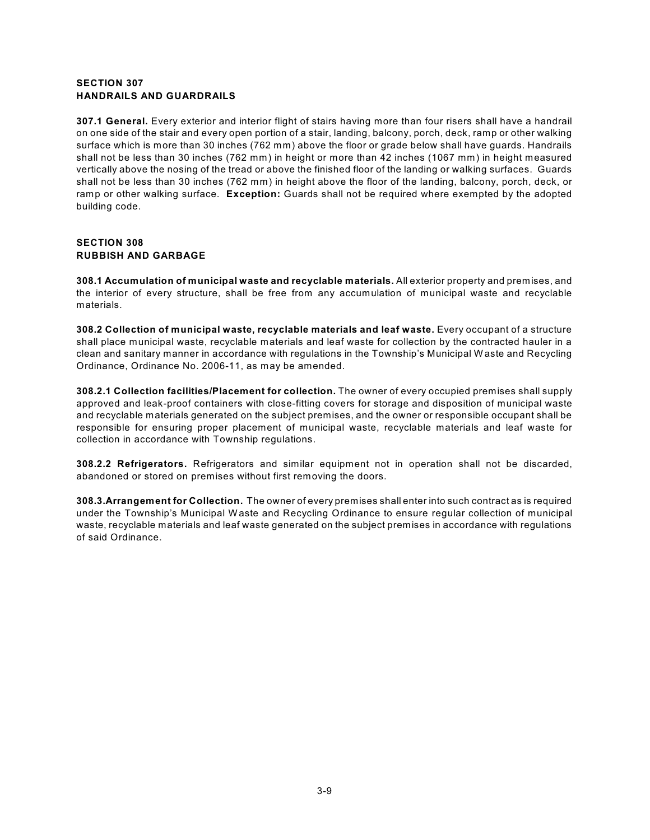#### **SECTION 307 HANDRAILS AND GUARDRAILS**

**307.1 General.** Every exterior and interior flight of stairs having more than four risers shall have a handrail on one side of the stair and every open portion of a stair, landing, balcony, porch, deck, ramp or other walking surface which is more than 30 inches (762 mm) above the floor or grade below shall have guards. Handrails shall not be less than 30 inches (762 mm) in height or more than 42 inches (1067 mm) in height measured vertically above the nosing of the tread or above the finished floor of the landing or walking surfaces. Guards shall not be less than 30 inches (762 mm) in height above the floor of the landing, balcony, porch, deck, or ramp or other walking surface. **Exception:** Guards shall not be required where exempted by the adopted building code.

#### **SECTION 308 RUBBISH AND GARBAGE**

**308.1 Accumulation of municipal waste and recyclable materials.** All exterior property and premises, and the interior of every structure, shall be free from any accumulation of municipal waste and recyclable materials.

**308.2 Collection of municipal waste, recyclable materials and leaf waste.** Every occupant of a structure shall place municipal waste, recyclable materials and leaf waste for collection by the contracted hauler in a clean and sanitary manner in accordance with regulations in the Township's Municipal W aste and Recycling Ordinance, Ordinance No. 2006-11, as may be amended.

**308.2.1 Collection facilities/Placement for collection.** The owner of every occupied premises shall supply approved and leak-proof containers with close-fitting covers for storage and disposition of municipal waste and recyclable materials generated on the subject premises, and the owner or responsible occupant shall be responsible for ensuring proper placement of municipal waste, recyclable materials and leaf waste for collection in accordance with Township regulations.

**308.2.2 Refrigerators.** Refrigerators and similar equipment not in operation shall not be discarded, abandoned or stored on premises without first removing the doors.

**308.3.Arrangement for Collection.** The owner of every premises shall enter into such contract as is required under the Township's Municipal W aste and Recycling Ordinance to ensure regular collection of municipal waste, recyclable materials and leaf waste generated on the subject premises in accordance with regulations of said Ordinance.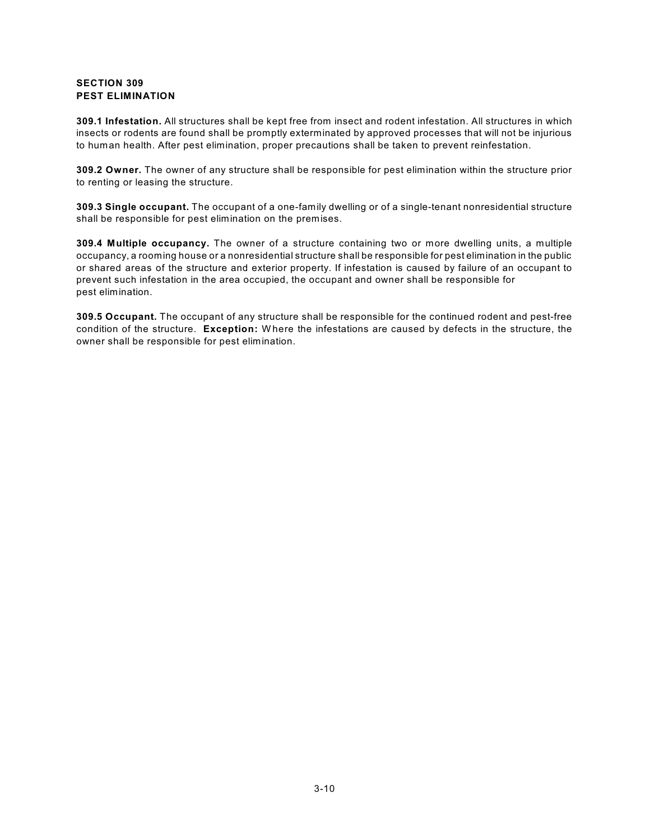#### **SECTION 309 PEST ELIMINATION**

**309.1 Infestation.** All structures shall be kept free from insect and rodent infestation. All structures in which insects or rodents are found shall be promptly exterminated by approved processes that will not be injurious to human health. After pest elimination, proper precautions shall be taken to prevent reinfestation.

**309.2 Owner.** The owner of any structure shall be responsible for pest elimination within the structure prior to renting or leasing the structure.

**309.3 Single occupant.** The occupant of a one-family dwelling or of a single-tenant nonresidential structure shall be responsible for pest elimination on the premises.

**309.4 Multiple occupancy.** The owner of a structure containing two or more dwelling units, a multiple occupancy, a rooming house or a nonresidential structure shall be responsible for pest elimination in the public or shared areas of the structure and exterior property. If infestation is caused by failure of an occupant to prevent such infestation in the area occupied, the occupant and owner shall be responsible for pest elimination.

**309.5 Occupant.** The occupant of any structure shall be responsible for the continued rodent and pest-free condition of the structure. **Exception:** W here the infestations are caused by defects in the structure, the owner shall be responsible for pest elimination.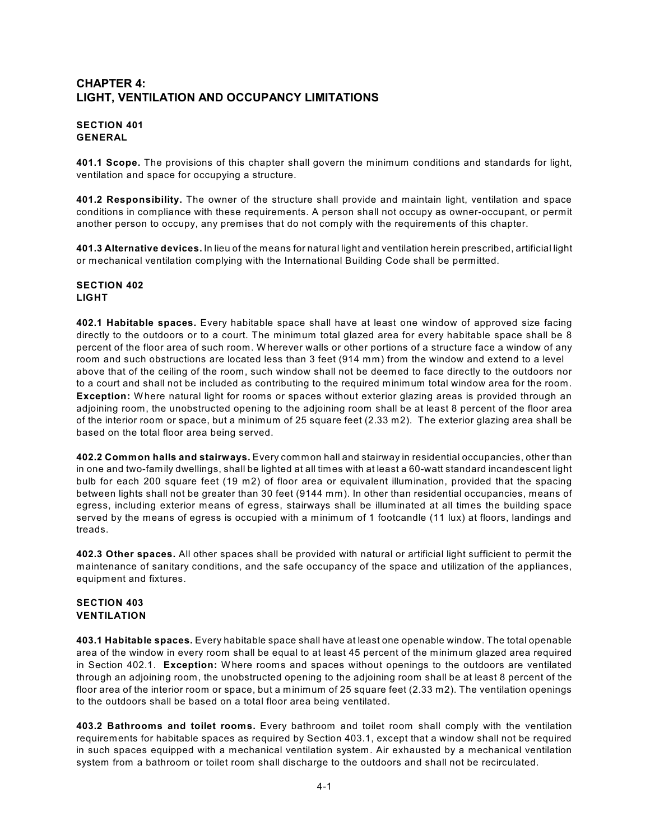# **CHAPTER 4: LIGHT, VENTILATION AND OCCUPANCY LIMITATIONS**

#### **SECTION 401 GENERAL**

**401.1 Scope.** The provisions of this chapter shall govern the minimum conditions and standards for light, ventilation and space for occupying a structure.

**401.2 Responsibility.** The owner of the structure shall provide and maintain light, ventilation and space conditions in compliance with these requirements. A person shall not occupy as owner-occupant, or permit another person to occupy, any premises that do not comply with the requirements of this chapter.

**401.3 Alternative devices.** In lieu of the means for natural light and ventilation herein prescribed, artificial light or mechanical ventilation complying with the International Building Code shall be permitted.

#### **SECTION 402 LIGHT**

**402.1 Habitable spaces.** Every habitable space shall have at least one window of approved size facing directly to the outdoors or to a court. The minimum total glazed area for every habitable space shall be 8 percent of the floor area of such room. W herever walls or other portions of a structure face a window of any room and such obstructions are located less than 3 feet (914 mm) from the window and extend to a level above that of the ceiling of the room, such window shall not be deemed to face directly to the outdoors nor to a court and shall not be included as contributing to the required minimum total window area for the room. **Exception:** W here natural light for rooms or spaces without exterior glazing areas is provided through an adjoining room, the unobstructed opening to the adjoining room shall be at least 8 percent of the floor area of the interior room or space, but a minimum of 25 square feet (2.33 m2). The exterior glazing area shall be based on the total floor area being served.

**402.2 Common halls and stairways.** Every common hall and stairway in residential occupancies, other than in one and two-family dwellings, shall be lighted at all times with at least a 60-watt standard incandescent light bulb for each 200 square feet (19 m2) of floor area or equivalent illumination, provided that the spacing between lights shall not be greater than 30 feet (9144 mm). In other than residential occupancies, means of egress, including exterior means of egress, stairways shall be illuminated at all times the building space served by the means of egress is occupied with a minimum of 1 footcandle (11 lux) at floors, landings and treads.

**402.3 Other spaces.** All other spaces shall be provided with natural or artificial light sufficient to permit the maintenance of sanitary conditions, and the safe occupancy of the space and utilization of the appliances, equipment and fixtures.

#### **SECTION 403 VENTILATION**

**403.1 Habitable spaces.** Every habitable space shall have at least one openable window. The total openable area of the window in every room shall be equal to at least 45 percent of the minimum glazed area required in Section 402.1. **Exception:** Where rooms and spaces without openings to the outdoors are ventilated through an adjoining room, the unobstructed opening to the adjoining room shall be at least 8 percent of the floor area of the interior room or space, but a minimum of 25 square feet (2.33 m2). The ventilation openings to the outdoors shall be based on a total floor area being ventilated.

**403.2 Bathrooms and toilet rooms.** Every bathroom and toilet room shall comply with the ventilation requirements for habitable spaces as required by Section 403.1, except that a window shall not be required in such spaces equipped with a mechanical ventilation system. Air exhausted by a mechanical ventilation system from a bathroom or toilet room shall discharge to the outdoors and shall not be recirculated.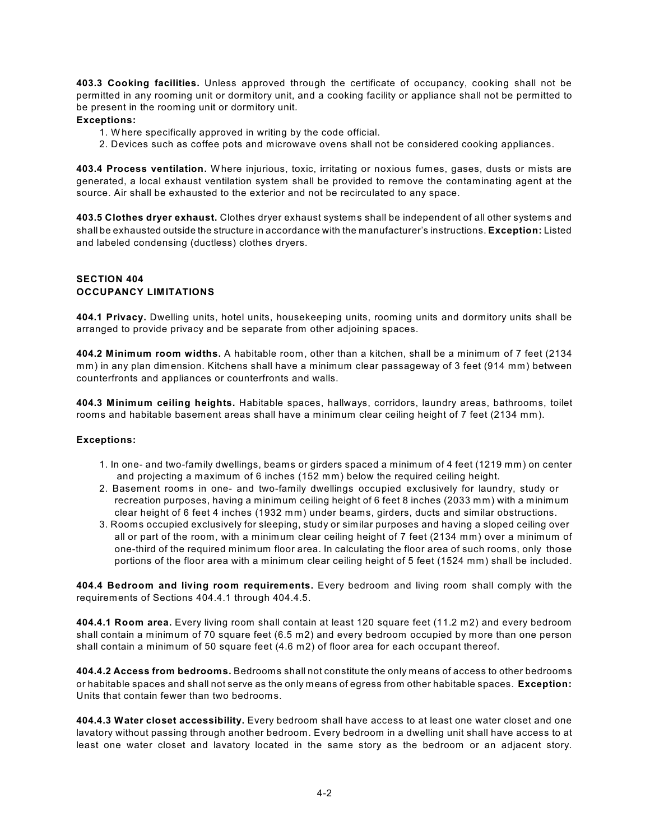**403.3 Cooking facilities.** Unless approved through the certificate of occupancy, cooking shall not be permitted in any rooming unit or dormitory unit, and a cooking facility or appliance shall not be permitted to be present in the rooming unit or dormitory unit.

#### **Exceptions:**

- 1. W here specifically approved in writing by the code official.
- 2. Devices such as coffee pots and microwave ovens shall not be considered cooking appliances.

**403.4 Process ventilation.** W here injurious, toxic, irritating or noxious fumes, gases, dusts or mists are generated, a local exhaust ventilation system shall be provided to remove the contaminating agent at the source. Air shall be exhausted to the exterior and not be recirculated to any space.

**403.5 Clothes dryer exhaust.** Clothes dryer exhaust systems shall be independent of all other systems and shall be exhausted outside the structure in accordance with the manufacturer's instructions. **Exception:** Listed and labeled condensing (ductless) clothes dryers.

#### **SECTION 404 OCCUPANCY LIMITATIONS**

**404.1 Privacy.** Dwelling units, hotel units, housekeeping units, rooming units and dormitory units shall be arranged to provide privacy and be separate from other adjoining spaces.

**404.2 Minimum room widths.** A habitable room, other than a kitchen, shall be a minimum of 7 feet (2134 mm) in any plan dimension. Kitchens shall have a minimum clear passageway of 3 feet (914 mm) between counterfronts and appliances or counterfronts and walls.

**404.3 Minimum ceiling heights.** Habitable spaces, hallways, corridors, laundry areas, bathrooms, toilet rooms and habitable basement areas shall have a minimum clear ceiling height of 7 feet (2134 mm).

#### **Exceptions:**

- 1. In one- and two-family dwellings, beams or girders spaced a minimum of 4 feet (1219 mm) on center and projecting a maximum of 6 inches (152 mm) below the required ceiling height.
- 2. Basement rooms in one- and two-family dwellings occupied exclusively for laundry, study or recreation purposes, having a minimum ceiling height of 6 feet 8 inches (2033 mm) with a minimum clear height of 6 feet 4 inches (1932 mm) under beams, girders, ducts and similar obstructions.
- 3. Rooms occupied exclusively for sleeping, study or similar purposes and having a sloped ceiling over all or part of the room, with a minimum clear ceiling height of 7 feet (2134 mm) over a minimum of one-third of the required minimum floor area. In calculating the floor area of such rooms, only those portions of the floor area with a minimum clear ceiling height of 5 feet (1524 mm) shall be included.

**404.4 Bedroom and living room requirements.** Every bedroom and living room shall comply with the requirements of Sections 404.4.1 through 404.4.5.

**404.4.1 Room area.** Every living room shall contain at least 120 square feet (11.2 m2) and every bedroom shall contain a minimum of 70 square feet (6.5 m2) and every bedroom occupied by more than one person shall contain a minimum of 50 square feet (4.6 m2) of floor area for each occupant thereof.

**404.4.2 Access from bedrooms.** Bedrooms shall not constitute the only means of access to other bedrooms or habitable spaces and shall not serve as the only means of egress from other habitable spaces. **Exception:** Units that contain fewer than two bedrooms.

**404.4.3 Water closet accessibility.** Every bedroom shall have access to at least one water closet and one lavatory without passing through another bedroom. Every bedroom in a dwelling unit shall have access to at least one water closet and lavatory located in the same story as the bedroom or an adjacent story.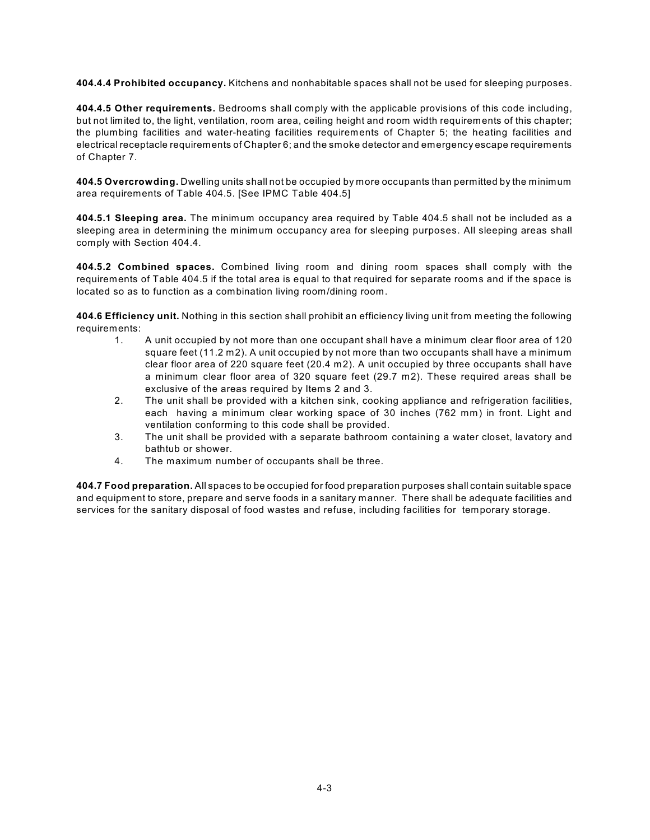**404.4.4 Prohibited occupancy.** Kitchens and nonhabitable spaces shall not be used for sleeping purposes.

**404.4.5 Other requirements.** Bedrooms shall comply with the applicable provisions of this code including, but not limited to, the light, ventilation, room area, ceiling height and room width requirements of this chapter; the plumbing facilities and water-heating facilities requirements of Chapter 5; the heating facilities and electrical receptacle requirements of Chapter 6; and the smoke detector and emergency escape requirements of Chapter 7.

**404.5 Overcrowding.** Dwelling units shall not be occupied by more occupants than permitted by the minimum area requirements of Table 404.5. [See IPMC Table 404.5]

**404.5.1 Sleeping area.** The minimum occupancy area required by Table 404.5 shall not be included as a sleeping area in determining the minimum occupancy area for sleeping purposes. All sleeping areas shall comply with Section 404.4.

**404.5.2 Combined spaces.** Combined living room and dining room spaces shall comply with the requirements of Table 404.5 if the total area is equal to that required for separate rooms and if the space is located so as to function as a combination living room/dining room.

**404.6 Efficiency unit.** Nothing in this section shall prohibit an efficiency living unit from meeting the following requirements:

- 1. A unit occupied by not more than one occupant shall have a minimum clear floor area of 120 square feet (11.2 m2). A unit occupied by not more than two occupants shall have a minimum clear floor area of 220 square feet (20.4 m2). A unit occupied by three occupants shall have a minimum clear floor area of 320 square feet (29.7 m2). These required areas shall be exclusive of the areas required by Items 2 and 3.
- 2. The unit shall be provided with a kitchen sink, cooking appliance and refrigeration facilities, each having a minimum clear working space of 30 inches (762 mm) in front. Light and ventilation conforming to this code shall be provided.
- 3. The unit shall be provided with a separate bathroom containing a water closet, lavatory and bathtub or shower.
- 4. The maximum number of occupants shall be three.

**404.7 Food preparation.** All spaces to be occupied for food preparation purposes shall contain suitable space and equipment to store, prepare and serve foods in a sanitary manner. There shall be adequate facilities and services for the sanitary disposal of food wastes and refuse, including facilities for temporary storage.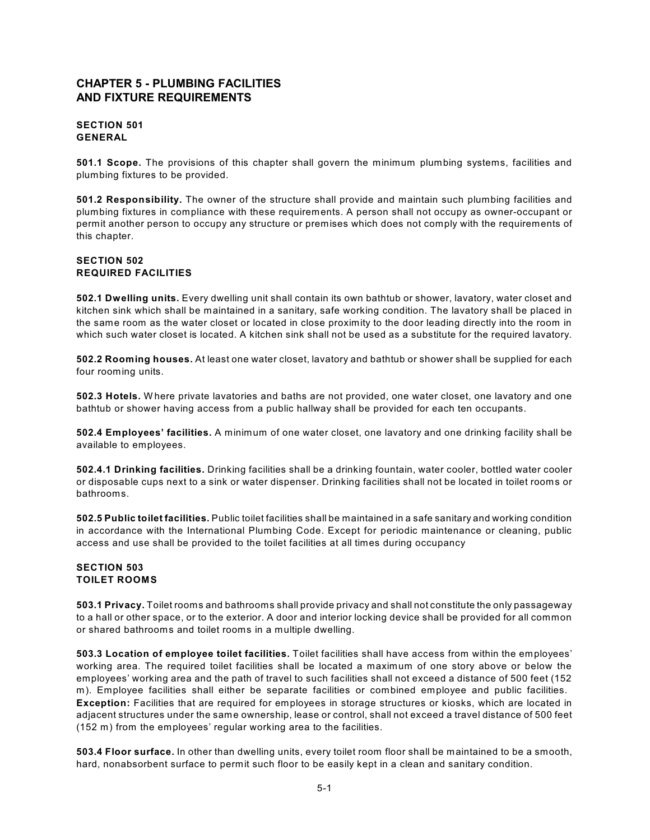## **CHAPTER 5 - PLUMBING FACILITIES AND FIXTURE REQUIREMENTS**

#### **SECTION 501 GENERAL**

**501.1 Scope.** The provisions of this chapter shall govern the minimum plumbing systems, facilities and plumbing fixtures to be provided.

**501.2 Responsibility.** The owner of the structure shall provide and maintain such plumbing facilities and plumbing fixtures in compliance with these requirements. A person shall not occupy as owner-occupant or permit another person to occupy any structure or premises which does not comply with the requirements of this chapter.

#### **SECTION 502 REQUIRED FACILITIES**

**502.1 Dwelling units.** Every dwelling unit shall contain its own bathtub or shower, lavatory, water closet and kitchen sink which shall be maintained in a sanitary, safe working condition. The lavatory shall be placed in the same room as the water closet or located in close proximity to the door leading directly into the room in which such water closet is located. A kitchen sink shall not be used as a substitute for the required lavatory.

**502.2 Rooming houses.** At least one water closet, lavatory and bathtub or shower shall be supplied for each four rooming units.

**502.3 Hotels.** W here private lavatories and baths are not provided, one water closet, one lavatory and one bathtub or shower having access from a public hallway shall be provided for each ten occupants.

**502.4 Employees' facilities.** A minimum of one water closet, one lavatory and one drinking facility shall be available to employees.

**502.4.1 Drinking facilities.** Drinking facilities shall be a drinking fountain, water cooler, bottled water cooler or disposable cups next to a sink or water dispenser. Drinking facilities shall not be located in toilet rooms or bathrooms.

**502.5 Public toilet facilities.** Public toilet facilities shall be maintained in a safe sanitary and working condition in accordance with the International Plumbing Code. Except for periodic maintenance or cleaning, public access and use shall be provided to the toilet facilities at all times during occupancy

#### **SECTION 503 TOILET ROOMS**

**503.1 Privacy.** Toilet rooms and bathrooms shall provide privacy and shall not constitute the only passageway to a hall or other space, or to the exterior. A door and interior locking device shall be provided for all common or shared bathrooms and toilet rooms in a multiple dwelling.

**503.3 Location of employee toilet facilities.** Toilet facilities shall have access from within the employees' working area. The required toilet facilities shall be located a maximum of one story above or below the employees' working area and the path of travel to such facilities shall not exceed a distance of 500 feet (152 m). Employee facilities shall either be separate facilities or combined employee and public facilities. **Exception:** Facilities that are required for employees in storage structures or kiosks, which are located in adjacent structures under the same ownership, lease or control, shall not exceed a travel distance of 500 feet (152 m) from the employees' regular working area to the facilities.

**503.4 Floor surface.** In other than dwelling units, every toilet room floor shall be maintained to be a smooth, hard, nonabsorbent surface to permit such floor to be easily kept in a clean and sanitary condition.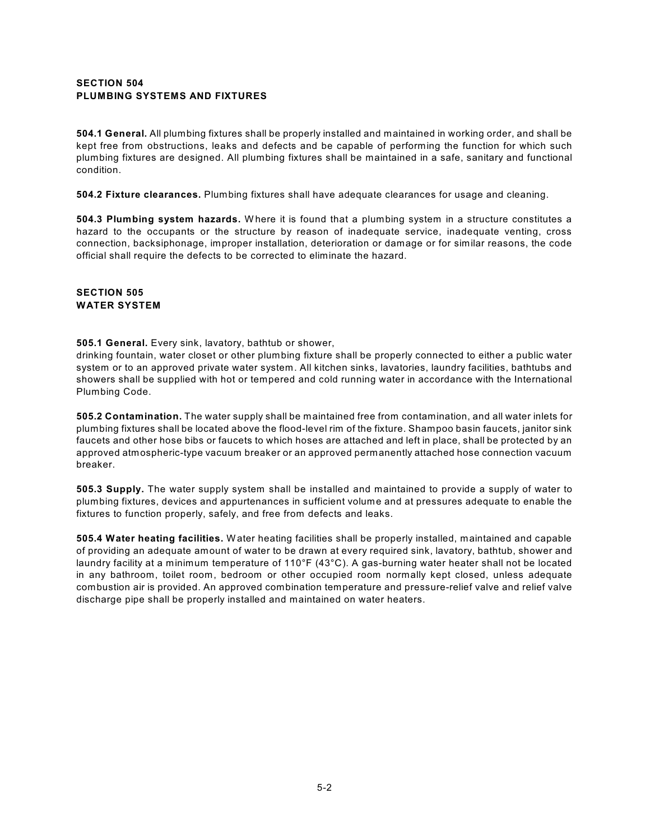#### **SECTION 504 PLUMBING SYSTEMS AND FIXTURES**

**504.1 General.** All plumbing fixtures shall be properly installed and maintained in working order, and shall be kept free from obstructions, leaks and defects and be capable of performing the function for which such plumbing fixtures are designed. All plumbing fixtures shall be maintained in a safe, sanitary and functional condition.

**504.2 Fixture clearances.** Plumbing fixtures shall have adequate clearances for usage and cleaning.

**504.3 Plumbing system hazards.** W here it is found that a plumbing system in a structure constitutes a hazard to the occupants or the structure by reason of inadequate service, inadequate venting, cross connection, backsiphonage, improper installation, deterioration or damage or for similar reasons, the code official shall require the defects to be corrected to eliminate the hazard.

#### **SECTION 505 WATER SYSTEM**

**505.1 General.** Every sink, lavatory, bathtub or shower,

drinking fountain, water closet or other plumbing fixture shall be properly connected to either a public water system or to an approved private water system. All kitchen sinks, lavatories, laundry facilities, bathtubs and showers shall be supplied with hot or tempered and cold running water in accordance with the International Plumbing Code.

**505.2 Contamination.** The water supply shall be maintained free from contamination, and all water inlets for plumbing fixtures shall be located above the flood-level rim of the fixture. Shampoo basin faucets, janitor sink faucets and other hose bibs or faucets to which hoses are attached and left in place, shall be protected by an approved atmospheric-type vacuum breaker or an approved permanently attached hose connection vacuum breaker.

**505.3 Supply.** The water supply system shall be installed and maintained to provide a supply of water to plumbing fixtures, devices and appurtenances in sufficient volume and at pressures adequate to enable the fixtures to function properly, safely, and free from defects and leaks.

**505.4 Water heating facilities.** W ater heating facilities shall be properly installed, maintained and capable of providing an adequate amount of water to be drawn at every required sink, lavatory, bathtub, shower and laundry facility at a minimum temperature of 110°F (43°C). A gas-burning water heater shall not be located in any bathroom, toilet room, bedroom or other occupied room normally kept closed, unless adequate combustion air is provided. An approved combination temperature and pressure-relief valve and relief valve discharge pipe shall be properly installed and maintained on water heaters.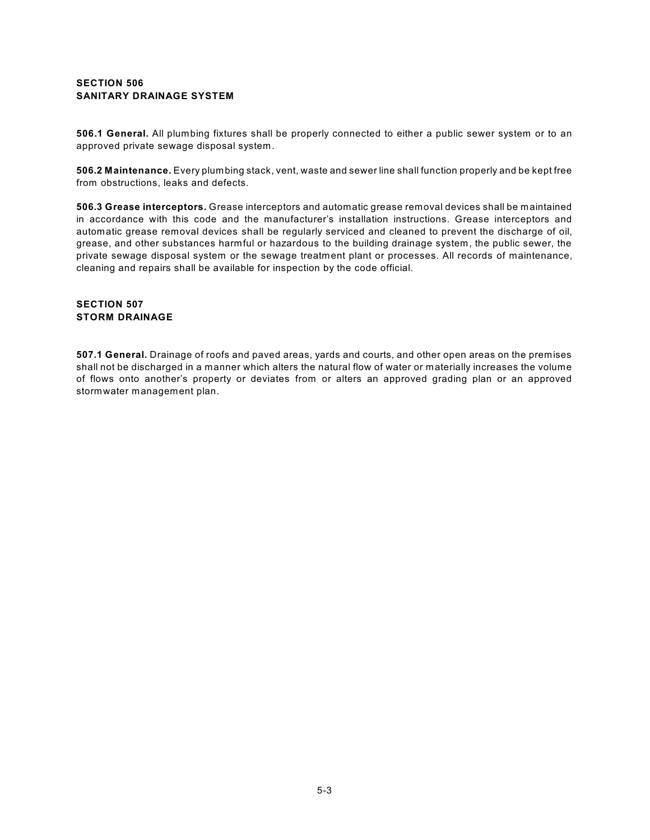#### **SECTION 506 SANITARY DRAINAGE SYSTEM**

**506.1 General.** All plumbing fixtures shall be properly connected to either a public sewer system or to an approved private sewage disposal system.

**506.2 Maintenance.** Every plumbing stack, vent, waste and sewer line shall function properly and be kept free from obstructions, leaks and defects.

**506.3 Grease interceptors.** Grease interceptors and automatic grease removal devices shall be maintained in accordance with this code and the manufacturer's installation instructions. Grease interceptors and automatic grease removal devices shall be regularly serviced and cleaned to prevent the discharge of oil, grease, and other substances harmful or hazardous to the building drainage system, the public sewer, the private sewage disposal system or the sewage treatment plant or processes. All records of maintenance, cleaning and repairs shall be available for inspection by the code official.

#### **SECTION 507 STORM DRAINAGE**

**507.1 General.** Drainage of roofs and paved areas, yards and courts, and other open areas on the premises shall not be discharged in a manner which alters the natural flow of water or materially increases the volume of flows onto another's property or deviates from or alters an approved grading plan or an approved stormwater management plan.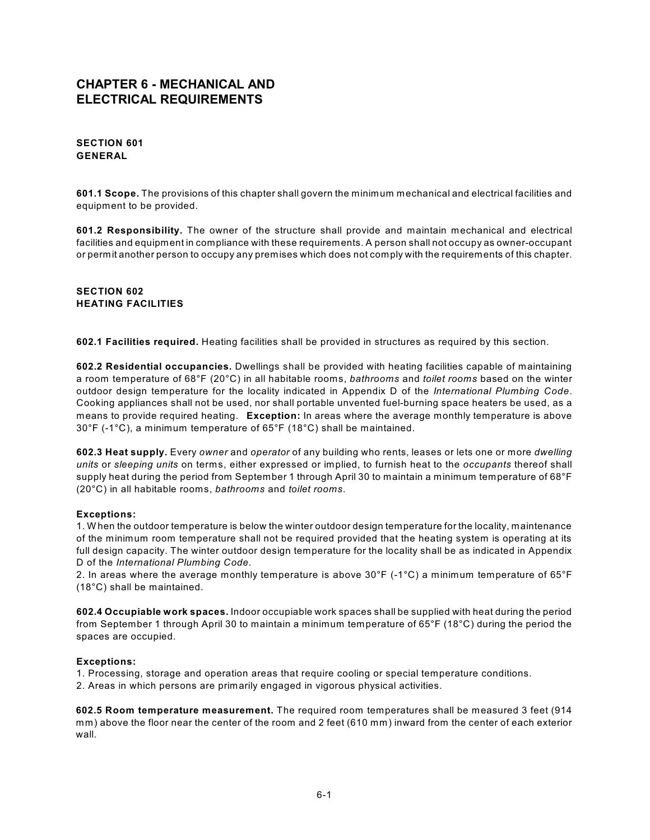# **CHAPTER 6 - MECHANICAL AND ELECTRICAL REQUIREMENTS**

**SECTION 601 GENERAL**

**601.1 Scope.** The provisions of this chapter shall govern the minimum mechanical and electrical facilities and equipment to be provided.

**601.2 Responsibility.** The owner of the structure shall provide and maintain mechanical and electrical facilities and equipment in compliance with these requirements. A person shall not occupy as owner-occupant or permit another person to occupy any premises which does not comply with the requirements of this chapter.

#### **SECTION 602 HEATING FACILITIES**

**602.1 Facilities required.** Heating facilities shall be provided in structures as required by this section.

**602.2 Residential occupancies.** Dwellings shall be provided with heating facilities capable of maintaining a room temperature of 68°F (20°C) in all habitable rooms, *bathrooms* and *toilet rooms* based on the winter outdoor design temperature for the locality indicated in Appendix D of the *International Plumbing Code*. Cooking appliances shall not be used, nor shall portable unvented fuel-burning space heaters be used, as a means to provide required heating. **Exception:** In areas where the average monthly temperature is above 30°F (-1°C), a minimum temperature of 65°F (18°C) shall be maintained.

**602.3 Heat supply.** Every *owner* and *operator* of any building who rents, leases or lets one or more *dwelling units* or *sleeping units* on terms, either expressed or implied, to furnish heat to the *occupants* thereof shall supply heat during the period from September 1 through April 30 to maintain a minimum temperature of 68°F (20°C) in all habitable rooms, *bathrooms* and *toilet rooms*.

#### **Exceptions:**

1. W hen the outdoor temperature is below the winter outdoor design temperature for the locality, maintenance of the minimum room temperature shall not be required provided that the heating system is operating at its full design capacity. The winter outdoor design temperature for the locality shall be as indicated in Appendix D of the *International Plumbing Code*.

2. In areas where the average monthly temperature is above 30°F (-1°C) a minimum temperature of 65°F (18°C) shall be maintained.

**602.4 Occupiable work spaces.** Indoor occupiable work spaces shall be supplied with heat during the period from September 1 through April 30 to maintain a minimum temperature of 65°F (18°C) during the period the spaces are occupied.

#### **Exceptions:**

1. Processing, storage and operation areas that require cooling or special temperature conditions.

2. Areas in which persons are primarily engaged in vigorous physical activities.

**602.5 Room temperature measurement.** The required room temperatures shall be measured 3 feet (914 mm) above the floor near the center of the room and 2 feet (610 mm) inward from the center of each exterior wall.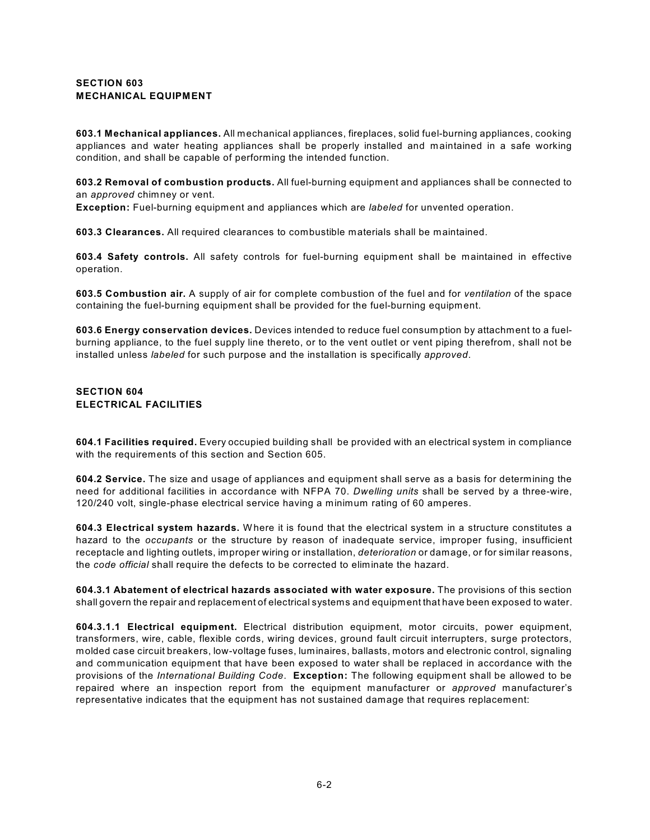#### **SECTION 603 MECHANICAL EQUIPMENT**

**603.1 Mechanical appliances.** All mechanical appliances, fireplaces, solid fuel-burning appliances, cooking appliances and water heating appliances shall be properly installed and maintained in a safe working condition, and shall be capable of performing the intended function.

**603.2 Removal of combustion products.** All fuel-burning equipment and appliances shall be connected to an *approved* chimney or vent.

**Exception:** Fuel-burning equipment and appliances which are *labeled* for unvented operation.

**603.3 Clearances.** All required clearances to combustible materials shall be maintained.

**603.4 Safety controls.** All safety controls for fuel-burning equipment shall be maintained in effective operation.

**603.5 Combustion air.** A supply of air for complete combustion of the fuel and for *ventilation* of the space containing the fuel-burning equipment shall be provided for the fuel-burning equipment.

**603.6 Energy conservation devices.** Devices intended to reduce fuel consumption by attachment to a fuelburning appliance, to the fuel supply line thereto, or to the vent outlet or vent piping therefrom, shall not be installed unless *labeled* for such purpose and the installation is specifically *approved*.

#### **SECTION 604 ELECTRICAL FACILITIES**

**604.1 Facilities required.** Every occupied building shall be provided with an electrical system in compliance with the requirements of this section and Section 605.

**604.2 Service.** The size and usage of appliances and equipment shall serve as a basis for determining the need for additional facilities in accordance with NFPA 70. *Dwelling units* shall be served by a three-wire, 120/240 volt, single-phase electrical service having a minimum rating of 60 amperes.

**604.3 Electrical system hazards.** W here it is found that the electrical system in a structure constitutes a hazard to the *occupants* or the structure by reason of inadequate service, improper fusing, insufficient receptacle and lighting outlets, improper wiring or installation, *deterioration* or damage, or for similar reasons, the *code official* shall require the defects to be corrected to eliminate the hazard.

**604.3.1 Abatement of electrical hazards associated with water exposure.** The provisions of this section shall govern the repair and replacement of electrical systems and equipment that have been exposed to water.

**604.3.1.1 Electrical equipment.** Electrical distribution equipment, motor circuits, power equipment, transformers, wire, cable, flexible cords, wiring devices, ground fault circuit interrupters, surge protectors, molded case circuit breakers, low-voltage fuses, luminaires, ballasts, motors and electronic control, signaling and communication equipment that have been exposed to water shall be replaced in accordance with the provisions of the *International Building Code*. **Exception:** The following equipment shall be allowed to be repaired where an inspection report from the equipment manufacturer or *approved* manufacturer's representative indicates that the equipment has not sustained damage that requires replacement: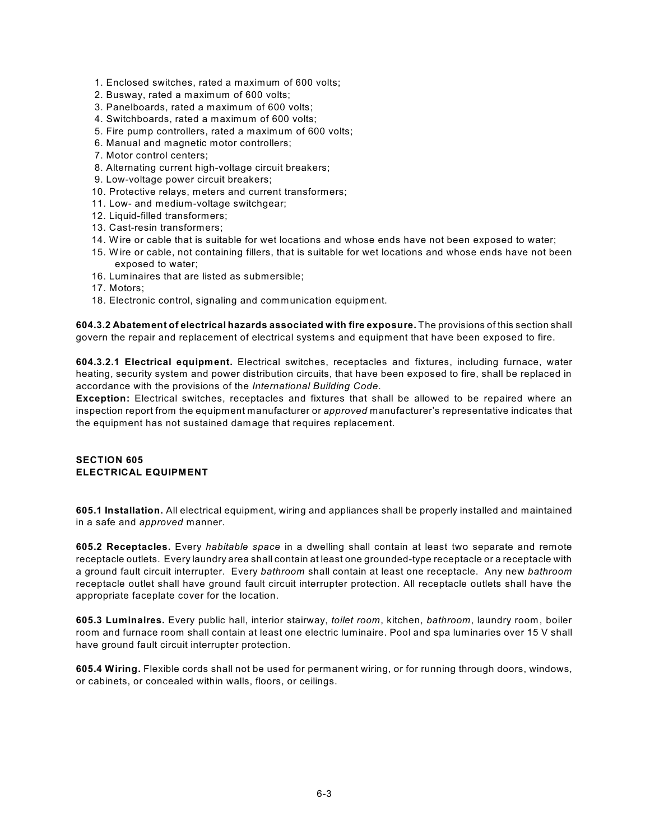- 1. Enclosed switches, rated a maximum of 600 volts;
- 2. Busway, rated a maximum of 600 volts;
- 3. Panelboards, rated a maximum of 600 volts;
- 4. Switchboards, rated a maximum of 600 volts;
- 5. Fire pump controllers, rated a maximum of 600 volts;
- 6. Manual and magnetic motor controllers;
- 7. Motor control centers;
- 8. Alternating current high-voltage circuit breakers;
- 9. Low-voltage power circuit breakers;
- 10. Protective relays, meters and current transformers;
- 11. Low- and medium-voltage switchgear;
- 12. Liquid-filled transformers;
- 13. Cast-resin transformers;
- 14. W ire or cable that is suitable for wet locations and whose ends have not been exposed to water;
- 15. W ire or cable, not containing fillers, that is suitable for wet locations and whose ends have not been exposed to water;
- 16. Luminaires that are listed as submersible;
- 17. Motors;
- 18. Electronic control, signaling and communication equipment.

**604.3.2 Abatement of electrical hazards associated with fire exposure.** The provisions of this section shall govern the repair and replacement of electrical systems and equipment that have been exposed to fire.

**604.3.2.1 Electrical equipment.** Electrical switches, receptacles and fixtures, including furnace, water heating, security system and power distribution circuits, that have been exposed to fire, shall be replaced in accordance with the provisions of the *International Building Code*.

**Exception:** Electrical switches, receptacles and fixtures that shall be allowed to be repaired where an inspection report from the equipment manufacturer or *approved* manufacturer's representative indicates that the equipment has not sustained damage that requires replacement.

#### **SECTION 605 ELECTRICAL EQUIPMENT**

**605.1 Installation.** All electrical equipment, wiring and appliances shall be properly installed and maintained in a safe and *approved* manner.

**605.2 Receptacles.** Every *habitable space* in a dwelling shall contain at least two separate and remote receptacle outlets. Every laundry area shall contain at least one grounded-type receptacle or a receptacle with a ground fault circuit interrupter. Every *bathroom* shall contain at least one receptacle. Any new *bathroom* receptacle outlet shall have ground fault circuit interrupter protection. All receptacle outlets shall have the appropriate faceplate cover for the location.

**605.3 Luminaires.** Every public hall, interior stairway, *toilet room*, kitchen, *bathroom*, laundry room, boiler room and furnace room shall contain at least one electric luminaire. Pool and spa luminaries over 15 V shall have ground fault circuit interrupter protection.

**605.4 Wiring.** Flexible cords shall not be used for permanent wiring, or for running through doors, windows, or cabinets, or concealed within walls, floors, or ceilings.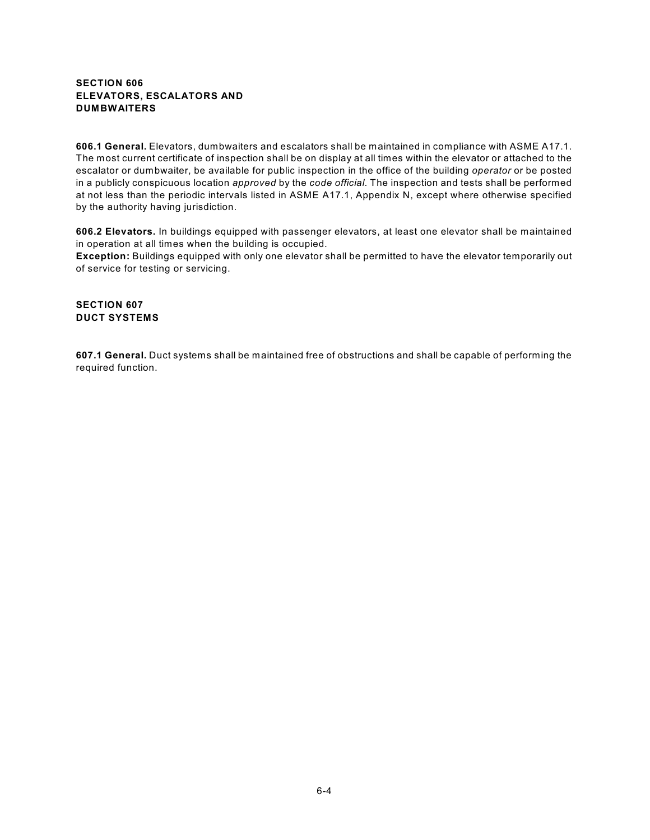#### **SECTION 606 ELEVATORS, ESCALATORS AND DUMBWAITERS**

**606.1 General.** Elevators, dumbwaiters and escalators shall be maintained in compliance with ASME A17.1. The most current certificate of inspection shall be on display at all times within the elevator or attached to the escalator or dumbwaiter, be available for public inspection in the office of the building *operator* or be posted in a publicly conspicuous location *approved* by the *code official*. The inspection and tests shall be performed at not less than the periodic intervals listed in ASME A17.1, Appendix N, except where otherwise specified by the authority having jurisdiction.

**606.2 Elevators.** In buildings equipped with passenger elevators, at least one elevator shall be maintained in operation at all times when the building is occupied.

**Exception:** Buildings equipped with only one elevator shall be permitted to have the elevator temporarily out of service for testing or servicing.

#### **SECTION 607 DUCT SYSTEMS**

**607.1 General.** Duct systems shall be maintained free of obstructions and shall be capable of performing the required function.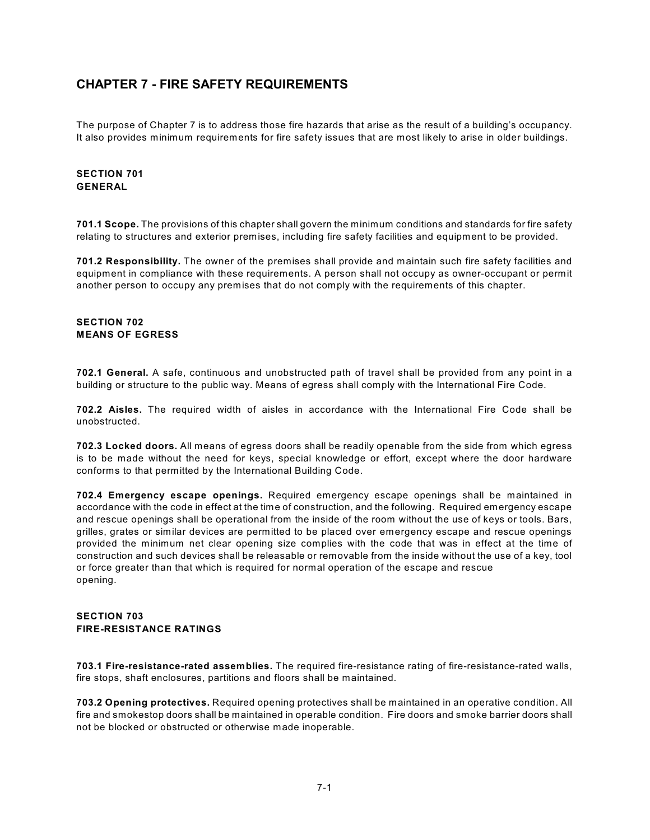# **CHAPTER 7 - FIRE SAFETY REQUIREMENTS**

The purpose of Chapter 7 is to address those fire hazards that arise as the result of a building's occupancy. It also provides minimum requirements for fire safety issues that are most likely to arise in older buildings.

#### **SECTION 701 GENERAL**

**701.1 Scope.** The provisions of this chapter shall govern the minimum conditions and standards for fire safety relating to structures and exterior premises, including fire safety facilities and equipment to be provided.

**701.2 Responsibility.** The owner of the premises shall provide and maintain such fire safety facilities and equipment in compliance with these requirements. A person shall not occupy as owner-occupant or permit another person to occupy any premises that do not comply with the requirements of this chapter.

#### **SECTION 702 MEANS OF EGRESS**

**702.1 General.** A safe, continuous and unobstructed path of travel shall be provided from any point in a building or structure to the public way. Means of egress shall comply with the International Fire Code.

**702.2 Aisles.** The required width of aisles in accordance with the International Fire Code shall be unobstructed.

**702.3 Locked doors.** All means of egress doors shall be readily openable from the side from which egress is to be made without the need for keys, special knowledge or effort, except where the door hardware conforms to that permitted by the International Building Code.

**702.4 Emergency escape openings.** Required emergency escape openings shall be maintained in accordance with the code in effect at the time of construction, and the following. Required emergency escape and rescue openings shall be operational from the inside of the room without the use of keys or tools. Bars, grilles, grates or similar devices are permitted to be placed over emergency escape and rescue openings provided the minimum net clear opening size complies with the code that was in effect at the time of construction and such devices shall be releasable or removable from the inside without the use of a key, tool or force greater than that which is required for normal operation of the escape and rescue opening.

#### **SECTION 703 FIRE-RESISTANCE RATINGS**

**703.1 Fire-resistance-rated assemblies.** The required fire-resistance rating of fire-resistance-rated walls, fire stops, shaft enclosures, partitions and floors shall be maintained.

**703.2 Opening protectives.** Required opening protectives shall be maintained in an operative condition. All fire and smokestop doors shall be maintained in operable condition. Fire doors and smoke barrier doors shall not be blocked or obstructed or otherwise made inoperable.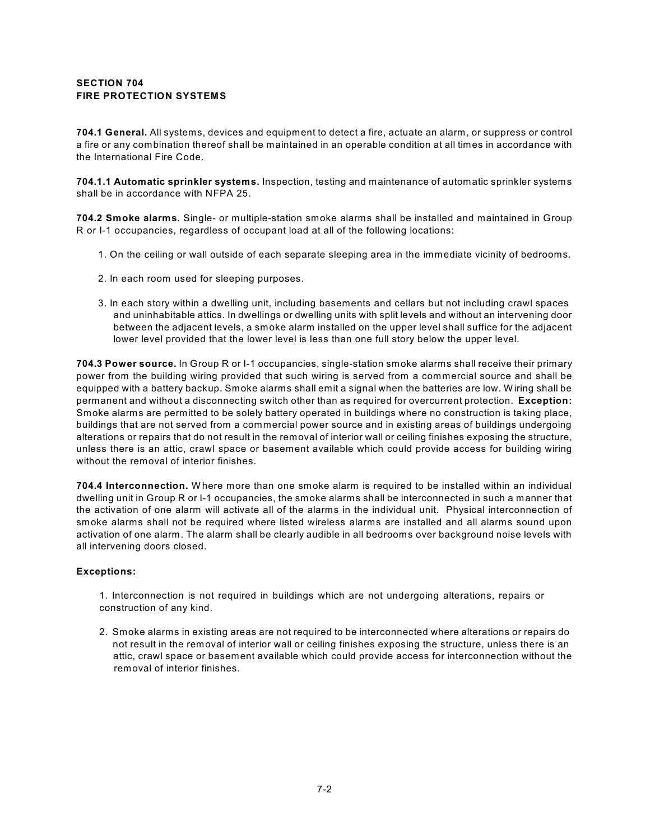#### **SECTION 704 FIRE PROTECTION SYSTEMS**

**704.1 General.** All systems, devices and equipment to detect a fire, actuate an alarm, or suppress or control a fire or any combination thereof shall be maintained in an operable condition at all times in accordance with the International Fire Code.

**704.1.1 Automatic sprinkler systems.** Inspection, testing and maintenance of automatic sprinkler systems shall be in accordance with NFPA 25.

**704.2 Smoke alarms.** Single- or multiple-station smoke alarms shall be installed and maintained in Group R or I-1 occupancies, regardless of occupant load at all of the following locations:

- 1. On the ceiling or wall outside of each separate sleeping area in the immediate vicinity of bedrooms.
- 2. In each room used for sleeping purposes.
- 3. In each story within a dwelling unit, including basements and cellars but not including crawl spaces and uninhabitable attics. In dwellings or dwelling units with split levels and without an intervening door between the adjacent levels, a smoke alarm installed on the upper level shall suffice for the adjacent lower level provided that the lower level is less than one full story below the upper level.

**704.3 Power source.** In Group R or I-1 occupancies, single-station smoke alarms shall receive their primary power from the building wiring provided that such wiring is served from a commercial source and shall be equipped with a battery backup. Smoke alarms shall emit a signal when the batteries are low. Wiring shall be permanent and without a disconnecting switch other than as required for overcurrent protection. **Exception:** Smoke alarms are permitted to be solely battery operated in buildings where no construction is taking place, buildings that are not served from a commercial power source and in existing areas of buildings undergoing alterations or repairs that do not result in the removal of interior wall or ceiling finishes exposing the structure, unless there is an attic, crawl space or basement available which could provide access for building wiring without the removal of interior finishes.

**704.4 Interconnection.** W here more than one smoke alarm is required to be installed within an individual dwelling unit in Group R or I-1 occupancies, the smoke alarms shall be interconnected in such a manner that the activation of one alarm will activate all of the alarms in the individual unit. Physical interconnection of smoke alarms shall not be required where listed wireless alarms are installed and all alarms sound upon activation of one alarm. The alarm shall be clearly audible in all bedrooms over background noise levels with all intervening doors closed.

#### **Exceptions:**

1. Interconnection is not required in buildings which are not undergoing alterations, repairs or construction of any kind.

2. Smoke alarms in existing areas are not required to be interconnected where alterations or repairs do not result in the removal of interior wall or ceiling finishes exposing the structure, unless there is an attic, crawl space or basement available which could provide access for interconnection without the removal of interior finishes.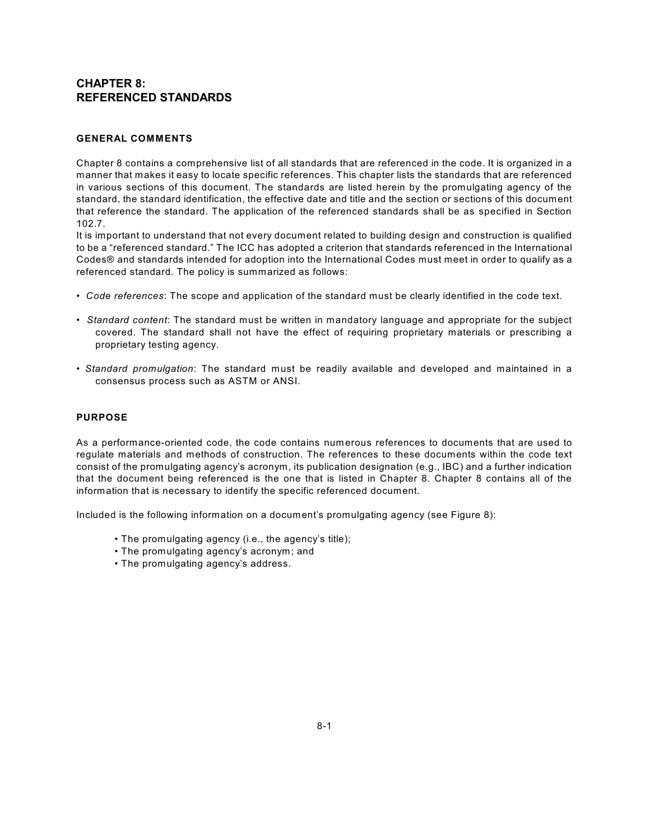### **CHAPTER 8: REFERENCED STANDARDS**

#### **GENERAL COMMENTS**

Chapter 8 contains a comprehensive list of all standards that are referenced in the code. It is organized in a manner that makes it easy to locate specific references. This chapter lists the standards that are referenced in various sections of this document. The standards are listed herein by the promulgating agency of the standard, the standard identification, the effective date and title and the section or sections of this document that reference the standard. The application of the referenced standards shall be as specified in Section 102.7.

It is important to understand that not every document related to building design and construction is qualified to be a "referenced standard." The ICC has adopted a criterion that standards referenced in the International Codes® and standards intended for adoption into the International Codes must meet in order to qualify as a referenced standard. The policy is summarized as follows:

- *Code references*: The scope and application of the standard must be clearly identified in the code text.
- *Standard content*: The standard must be written in mandatory language and appropriate for the subject covered. The standard shall not have the effect of requiring proprietary materials or prescribing a proprietary testing agency.
- *Standard promulgation*: The standard must be readily available and developed and maintained in a consensus process such as ASTM or ANSI.

#### **PURPOSE**

As a performance-oriented code, the code contains numerous references to documents that are used to regulate materials and methods of construction. The references to these documents within the code text consist of the promulgating agency's acronym, its publication designation (e.g., IBC) and a further indication that the document being referenced is the one that is listed in Chapter 8. Chapter 8 contains all of the information that is necessary to identify the specific referenced document.

Included is the following information on a document's promulgating agency (see Figure 8):

- The promulgating agency (i.e., the agency's title);
- The promulgating agency's acronym; and
- The promulgating agency's address.